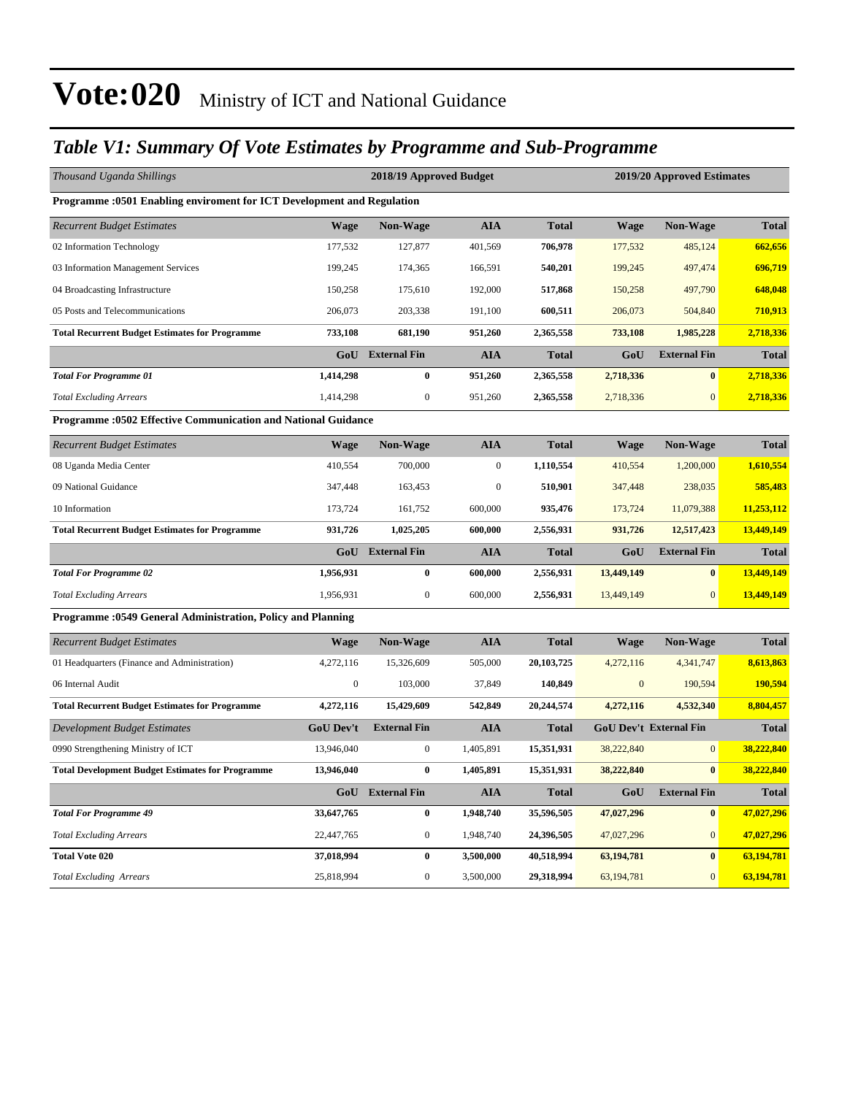### *Table V1: Summary Of Vote Estimates by Programme and Sub-Programme*

| Thousand Uganda Shillings                                              |                  | 2018/19 Approved Budget |                  |              |                  | 2019/20 Approved Estimates    |              |
|------------------------------------------------------------------------|------------------|-------------------------|------------------|--------------|------------------|-------------------------------|--------------|
| Programme :0501 Enabling enviroment for ICT Development and Regulation |                  |                         |                  |              |                  |                               |              |
| <b>Recurrent Budget Estimates</b>                                      | <b>Wage</b>      | <b>Non-Wage</b>         | <b>AIA</b>       | <b>Total</b> | <b>Wage</b>      | Non-Wage                      | <b>Total</b> |
| 02 Information Technology                                              | 177,532          | 127,877                 | 401,569          | 706,978      | 177,532          | 485,124                       | 662,656      |
| 03 Information Management Services                                     | 199,245          | 174,365                 | 166,591          | 540,201      | 199,245          | 497,474                       | 696,719      |
| 04 Broadcasting Infrastructure                                         | 150,258          | 175,610                 | 192,000          | 517,868      | 150,258          | 497,790                       | 648,048      |
| 05 Posts and Telecommunications                                        | 206,073          | 203,338                 | 191,100          | 600,511      | 206,073          | 504,840                       | 710,913      |
| <b>Total Recurrent Budget Estimates for Programme</b>                  | 733,108          | 681,190                 | 951,260          | 2,365,558    | 733,108          | 1,985,228                     | 2,718,336    |
|                                                                        | GoU              | <b>External Fin</b>     | <b>AIA</b>       | <b>Total</b> | GoU              | <b>External Fin</b>           | <b>Total</b> |
| <b>Total For Programme 01</b>                                          | 1,414,298        | $\bf{0}$                | 951,260          | 2,365,558    | 2,718,336        | $\bf{0}$                      | 2,718,336    |
| <b>Total Excluding Arrears</b>                                         | 1,414,298        | $\mathbf{0}$            | 951,260          | 2,365,558    | 2,718,336        | $\overline{0}$                | 2,718,336    |
| <b>Programme: 0502 Effective Communication and National Guidance</b>   |                  |                         |                  |              |                  |                               |              |
| <b>Recurrent Budget Estimates</b>                                      | Wage             | <b>Non-Wage</b>         | <b>AIA</b>       | <b>Total</b> | <b>Wage</b>      | <b>Non-Wage</b>               | <b>Total</b> |
| 08 Uganda Media Center                                                 | 410,554          | 700,000                 | $\boldsymbol{0}$ | 1,110,554    | 410,554          | 1,200,000                     | 1,610,554    |
| 09 National Guidance                                                   | 347,448          | 163,453                 | $\boldsymbol{0}$ | 510,901      | 347,448          | 238,035                       | 585,483      |
| 10 Information                                                         | 173,724          | 161,752                 | 600,000          | 935,476      | 173,724          | 11,079,388                    | 11,253,112   |
| <b>Total Recurrent Budget Estimates for Programme</b>                  | 931,726          | 1,025,205               | 600,000          | 2,556,931    | 931,726          | 12,517,423                    | 13,449,149   |
|                                                                        | GoU              | <b>External Fin</b>     | <b>AIA</b>       | <b>Total</b> | GoU              | <b>External Fin</b>           | <b>Total</b> |
| <b>Total For Programme 02</b>                                          | 1,956,931        | $\bf{0}$                | 600,000          | 2,556,931    | 13,449,149       | $\bf{0}$                      | 13,449,149   |
| <b>Total Excluding Arrears</b>                                         | 1,956,931        | $\boldsymbol{0}$        | 600,000          | 2,556,931    | 13,449,149       | $\overline{0}$                | 13,449,149   |
| Programme : 0549 General Administration, Policy and Planning           |                  |                         |                  |              |                  |                               |              |
| <b>Recurrent Budget Estimates</b>                                      | <b>Wage</b>      | <b>Non-Wage</b>         | <b>AIA</b>       | <b>Total</b> | <b>Wage</b>      | Non-Wage                      | <b>Total</b> |
| 01 Headquarters (Finance and Administration)                           | 4,272,116        | 15,326,609              | 505,000          | 20,103,725   | 4,272,116        | 4,341,747                     | 8,613,863    |
| 06 Internal Audit                                                      | $\boldsymbol{0}$ | 103,000                 | 37,849           | 140,849      | $\boldsymbol{0}$ | 190,594                       | 190,594      |
| <b>Total Recurrent Budget Estimates for Programme</b>                  | 4,272,116        | 15,429,609              | 542,849          | 20,244,574   | 4,272,116        | 4,532,340                     | 8,804,457    |
| Development Budget Estimates                                           | <b>GoU Dev't</b> | <b>External Fin</b>     | <b>AIA</b>       | <b>Total</b> |                  | <b>GoU Dev't External Fin</b> | <b>Total</b> |
| 0990 Strengthening Ministry of ICT                                     | 13,946,040       | $\boldsymbol{0}$        | 1,405,891        | 15,351,931   | 38,222,840       | $\mathbf{0}$                  | 38,222,840   |
| <b>Total Development Budget Estimates for Programme</b>                | 13,946,040       | $\bf{0}$                | 1,405,891        | 15,351,931   | 38,222,840       | $\bf{0}$                      | 38,222,840   |
|                                                                        |                  | GoU External Fin        | <b>AIA</b>       | <b>Total</b> | GoU              | <b>External Fin</b>           | <b>Total</b> |
| <b>Total For Programme 49</b>                                          | 33,647,765       | $\bf{0}$                | 1,948,740        | 35,596,505   | 47,027,296       | $\bf{0}$                      | 47,027,296   |
| <b>Total Excluding Arrears</b>                                         | 22,447,765       | $\boldsymbol{0}$        | 1,948,740        | 24,396,505   | 47,027,296       | $\overline{0}$                | 47,027,296   |
| <b>Total Vote 020</b>                                                  | 37,018,994       | $\bf{0}$                | 3,500,000        | 40,518,994   | 63,194,781       | $\bf{0}$                      | 63,194,781   |
| <b>Total Excluding Arrears</b>                                         | 25,818,994       | $\boldsymbol{0}$        | 3,500,000        | 29,318,994   | 63, 194, 781     | $\overline{0}$                | 63,194,781   |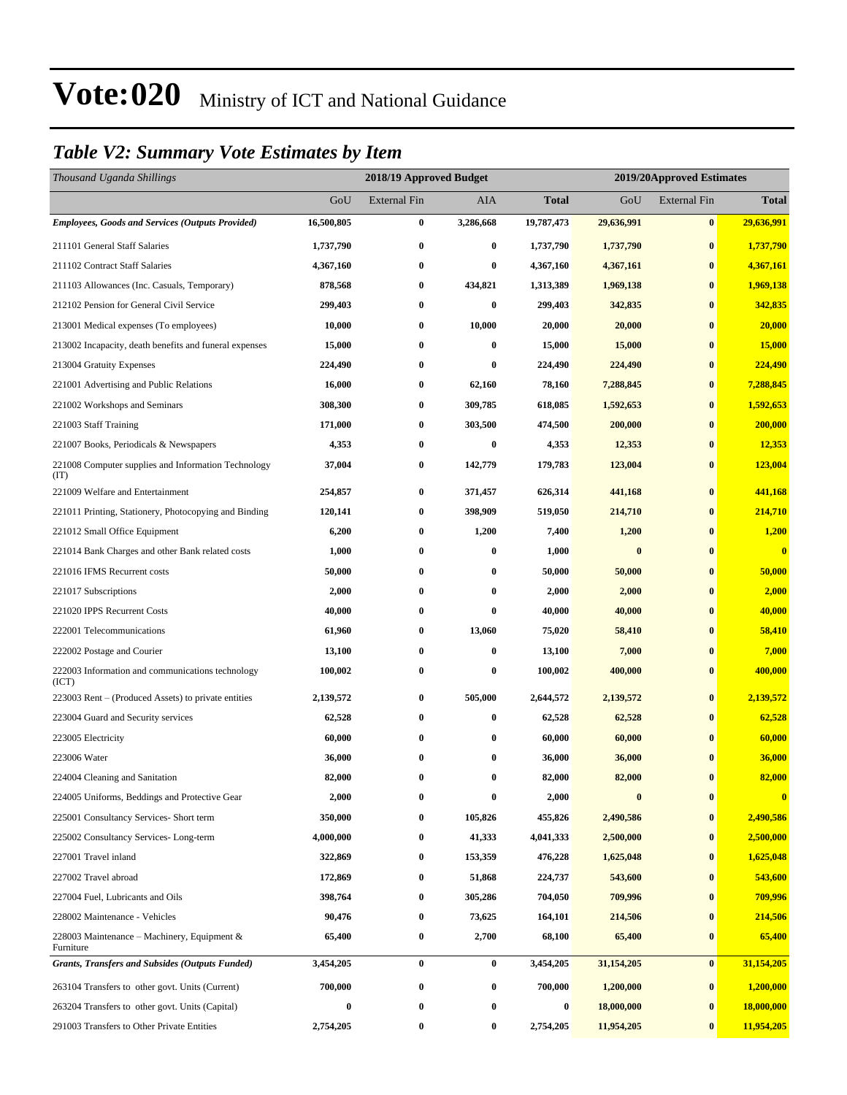### *Table V2: Summary Vote Estimates by Item*

| Thousand Uganda Shillings                                   |            | 2018/19 Approved Budget<br>2019/20Approved Estimates |           |              |              |                     |                         |
|-------------------------------------------------------------|------------|------------------------------------------------------|-----------|--------------|--------------|---------------------|-------------------------|
|                                                             | GoU        | <b>External Fin</b>                                  | AIA       | <b>Total</b> | GoU          | <b>External Fin</b> | <b>Total</b>            |
| <b>Employees, Goods and Services (Outputs Provided)</b>     | 16,500,805 | 0                                                    | 3,286,668 | 19,787,473   | 29,636,991   | $\bf{0}$            | 29,636,991              |
| 211101 General Staff Salaries                               | 1,737,790  | $\bf{0}$                                             | $\bf{0}$  | 1,737,790    | 1,737,790    | $\bf{0}$            | 1,737,790               |
| 211102 Contract Staff Salaries                              | 4,367,160  | $\boldsymbol{0}$                                     | $\bf{0}$  | 4,367,160    | 4,367,161    | $\bf{0}$            | 4,367,161               |
| 211103 Allowances (Inc. Casuals, Temporary)                 | 878,568    | $\bf{0}$                                             | 434,821   | 1,313,389    | 1,969,138    | $\bf{0}$            | 1,969,138               |
| 212102 Pension for General Civil Service                    | 299,403    | $\boldsymbol{0}$                                     | $\bf{0}$  | 299,403      | 342,835      | $\bf{0}$            | 342,835                 |
| 213001 Medical expenses (To employees)                      | 10,000     | $\bf{0}$                                             | 10,000    | 20,000       | 20,000       | $\bf{0}$            | 20,000                  |
| 213002 Incapacity, death benefits and funeral expenses      | 15,000     | $\bf{0}$                                             | $\bf{0}$  | 15,000       | 15,000       | $\bf{0}$            | 15,000                  |
| 213004 Gratuity Expenses                                    | 224,490    | $\boldsymbol{0}$                                     | $\bf{0}$  | 224,490      | 224,490      | $\bf{0}$            | 224,490                 |
| 221001 Advertising and Public Relations                     | 16,000     | $\bf{0}$                                             | 62,160    | 78,160       | 7,288,845    | $\bf{0}$            | 7,288,845               |
| 221002 Workshops and Seminars                               | 308,300    | $\boldsymbol{0}$                                     | 309,785   | 618,085      | 1,592,653    | $\bf{0}$            | 1,592,653               |
| 221003 Staff Training                                       | 171,000    | $\bf{0}$                                             | 303,500   | 474,500      | 200,000      | $\bf{0}$            | 200,000                 |
| 221007 Books, Periodicals & Newspapers                      | 4,353      | $\bf{0}$                                             | $\bf{0}$  | 4,353        | 12,353       | $\bf{0}$            | 12,353                  |
| 221008 Computer supplies and Information Technology<br>(TT) | 37,004     | 0                                                    | 142,779   | 179,783      | 123,004      | $\bf{0}$            | 123,004                 |
| 221009 Welfare and Entertainment                            | 254,857    | $\boldsymbol{0}$                                     | 371,457   | 626,314      | 441,168      | $\bf{0}$            | 441,168                 |
| 221011 Printing, Stationery, Photocopying and Binding       | 120,141    | $\bf{0}$                                             | 398,909   | 519,050      | 214,710      | $\bf{0}$            | 214,710                 |
| 221012 Small Office Equipment                               | 6,200      | $\bf{0}$                                             | 1,200     | 7,400        | 1,200        | $\bf{0}$            | 1,200                   |
| 221014 Bank Charges and other Bank related costs            | 1,000      | $\boldsymbol{0}$                                     | $\bf{0}$  | 1,000        | $\bf{0}$     | $\bf{0}$            | $\overline{\mathbf{0}}$ |
| 221016 IFMS Recurrent costs                                 | 50,000     | $\bf{0}$                                             | $\bf{0}$  | 50,000       | 50,000       | $\bf{0}$            | 50,000                  |
| 221017 Subscriptions                                        | 2,000      | $\bf{0}$                                             | $\bf{0}$  | 2,000        | 2,000        | $\bf{0}$            | 2,000                   |
| 221020 IPPS Recurrent Costs                                 | 40,000     | 0                                                    | $\bf{0}$  | 40,000       | 40,000       | $\bf{0}$            | 40,000                  |
| 222001 Telecommunications                                   | 61,960     | $\boldsymbol{0}$                                     | 13,060    | 75,020       | 58,410       | $\bf{0}$            | 58,410                  |
| 222002 Postage and Courier                                  | 13,100     | $\bf{0}$                                             | $\bf{0}$  | 13,100       | 7,000        | $\bf{0}$            | 7,000                   |
| 222003 Information and communications technology<br>(ICT)   | 100,002    | $\bf{0}$                                             | $\bf{0}$  | 100,002      | 400,000      | $\bf{0}$            | 400,000                 |
| 223003 Rent – (Produced Assets) to private entities         | 2,139,572  | $\bf{0}$                                             | 505,000   | 2,644,572    | 2,139,572    | $\bf{0}$            | 2,139,572               |
| 223004 Guard and Security services                          | 62,528     | $\boldsymbol{0}$                                     | $\bf{0}$  | 62,528       | 62,528       | $\bf{0}$            | 62,528                  |
| 223005 Electricity                                          | 60,000     | $\bf{0}$                                             | $\bf{0}$  | 60,000       | 60,000       | $\bf{0}$            | 60,000                  |
| 223006 Water                                                | 36,000     | 0                                                    | $\bf{0}$  | 36,000       | 36,000       | $\bf{0}$            | 36,000                  |
| 224004 Cleaning and Sanitation                              | 82,000     | $\bf{0}$                                             | $\bf{0}$  | 82,000       | 82,000       | $\bf{0}$            | 82,000                  |
| 224005 Uniforms, Beddings and Protective Gear               | 2,000      | 0                                                    | $\bf{0}$  | 2,000        | $\bf{0}$     | $\bf{0}$            | $\bf{0}$                |
| 225001 Consultancy Services- Short term                     | 350,000    | 0                                                    | 105,826   | 455,826      | 2,490,586    | $\bf{0}$            | 2,490,586               |
| 225002 Consultancy Services-Long-term                       | 4,000,000  | $\boldsymbol{0}$                                     | 41,333    | 4,041,333    | 2,500,000    | $\bf{0}$            | 2,500,000               |
| 227001 Travel inland                                        | 322,869    | $\bf{0}$                                             | 153,359   | 476,228      | 1,625,048    | $\bf{0}$            | 1,625,048               |
| 227002 Travel abroad                                        | 172,869    | $\bf{0}$                                             | 51,868    | 224,737      | 543,600      | $\bf{0}$            | 543,600                 |
| 227004 Fuel, Lubricants and Oils                            | 398,764    | $\boldsymbol{0}$                                     | 305,286   | 704,050      | 709,996      | $\bf{0}$            | 709,996                 |
| 228002 Maintenance - Vehicles                               | 90,476     | $\bf{0}$                                             | 73,625    | 164,101      | 214,506      | $\bf{0}$            | 214,506                 |
| 228003 Maintenance – Machinery, Equipment $\&$<br>Furniture | 65,400     | $\bf{0}$                                             | 2,700     | 68,100       | 65,400       | $\bf{0}$            | 65,400                  |
| <b>Grants, Transfers and Subsides (Outputs Funded)</b>      | 3,454,205  | $\bf{0}$                                             | $\bf{0}$  | 3,454,205    | 31, 154, 205 | $\bf{0}$            | 31,154,205              |
| 263104 Transfers to other govt. Units (Current)             | 700,000    | $\boldsymbol{0}$                                     | $\bf{0}$  | 700,000      | 1,200,000    | $\bf{0}$            | 1,200,000               |
| 263204 Transfers to other govt. Units (Capital)             | $\bf{0}$   | 0                                                    | $\bf{0}$  | $\bf{0}$     | 18,000,000   | $\bf{0}$            | 18,000,000              |
| 291003 Transfers to Other Private Entities                  | 2,754,205  | $\bf{0}$                                             | $\bf{0}$  | 2,754,205    | 11,954,205   | $\bf{0}$            | 11,954,205              |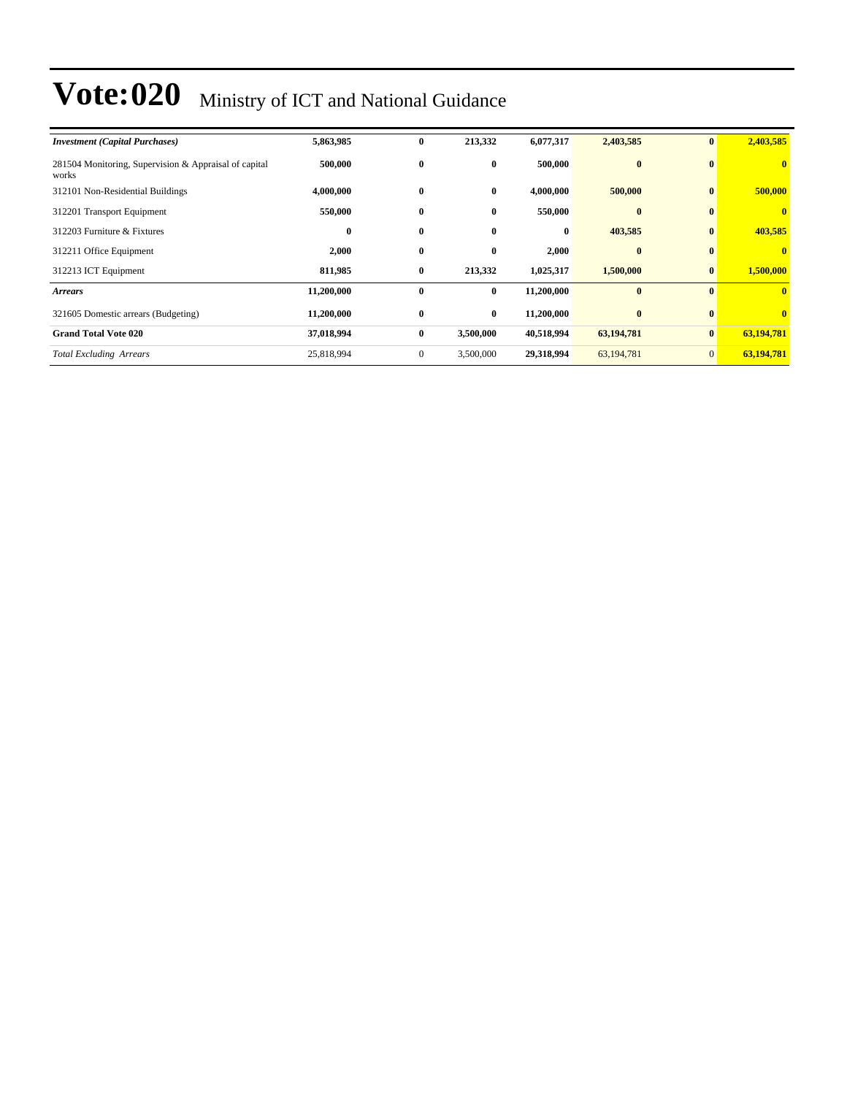| <b>Investment</b> (Capital Purchases)                          | 5,863,985  | $\bf{0}$     | 213,332   | 6,077,317  | 2,403,585    | $\bf{0}$     | 2,403,585               |
|----------------------------------------------------------------|------------|--------------|-----------|------------|--------------|--------------|-------------------------|
| 281504 Monitoring, Supervision & Appraisal of capital<br>works | 500,000    | $\bf{0}$     | $\bf{0}$  | 500,000    | $\bf{0}$     | $\mathbf{0}$ | $\mathbf{0}$            |
| 312101 Non-Residential Buildings                               | 4,000,000  | $\bf{0}$     | $\bf{0}$  | 4,000,000  | 500,000      | $\bf{0}$     | 500,000                 |
| 312201 Transport Equipment                                     | 550,000    | $\bf{0}$     | $\bf{0}$  | 550,000    | $\bf{0}$     | $\mathbf{0}$ |                         |
| 312203 Furniture & Fixtures                                    | 0          | $\bf{0}$     | $\bf{0}$  | $\bf{0}$   | 403,585      | $\bf{0}$     | 403,585                 |
| 312211 Office Equipment                                        | 2,000      | $\bf{0}$     | $\bf{0}$  | 2,000      | $\bf{0}$     | $\bf{0}$     | $\bf{0}$                |
| 312213 ICT Equipment                                           | 811,985    | $\bf{0}$     | 213,332   | 1,025,317  | 1,500,000    | $\mathbf{0}$ | 1,500,000               |
| <b>Arrears</b>                                                 | 11,200,000 | $\bf{0}$     | $\bf{0}$  | 11,200,000 | $\mathbf{0}$ | $\mathbf{0}$ | $\mathbf{0}$            |
| 321605 Domestic arrears (Budgeting)                            | 11,200,000 | $\bf{0}$     | $\bf{0}$  | 11,200,000 | $\bf{0}$     | $\bf{0}$     | $\overline{\mathbf{0}}$ |
| <b>Grand Total Vote 020</b>                                    | 37,018,994 | $\bf{0}$     | 3,500,000 | 40,518,994 | 63,194,781   | $\mathbf{0}$ | 63,194,781              |
| <b>Total Excluding Arrears</b>                                 | 25,818,994 | $\mathbf{0}$ | 3,500,000 | 29,318,994 | 63, 194, 781 | $\mathbf{0}$ | 63,194,781              |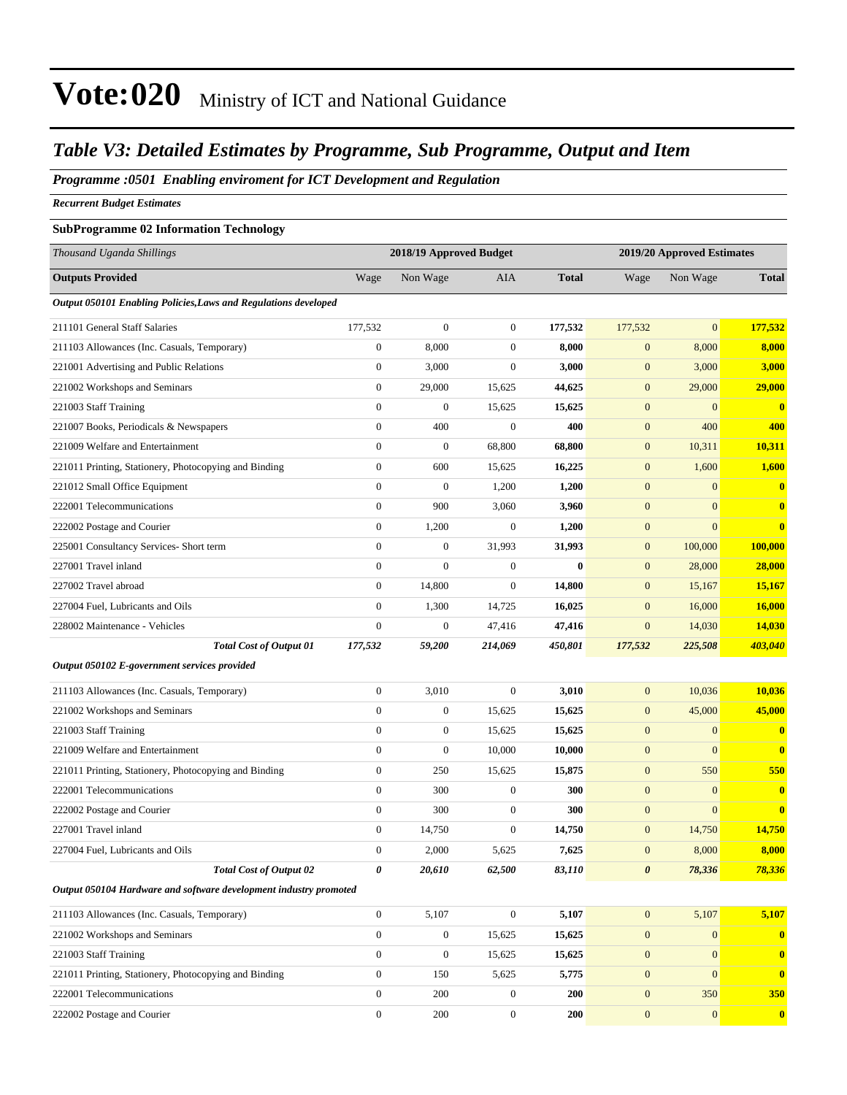#### *Table V3: Detailed Estimates by Programme, Sub Programme, Output and Item*

*Programme :0501 Enabling enviroment for ICT Development and Regulation*

*Recurrent Budget Estimates*

#### **SubProgramme 02 Information Technology**

| Thousand Uganda Shillings                                         |                  | 2018/19 Approved Budget |                  |              | 2019/20 Approved Estimates |                |              |
|-------------------------------------------------------------------|------------------|-------------------------|------------------|--------------|----------------------------|----------------|--------------|
| <b>Outputs Provided</b>                                           | Wage             | Non Wage                | <b>AIA</b>       | <b>Total</b> | Wage                       | Non Wage       | <b>Total</b> |
| Output 050101 Enabling Policies, Laws and Regulations developed   |                  |                         |                  |              |                            |                |              |
| 211101 General Staff Salaries                                     | 177,532          | $\boldsymbol{0}$        | $\boldsymbol{0}$ | 177,532      | 177,532                    | $\overline{0}$ | 177,532      |
| 211103 Allowances (Inc. Casuals, Temporary)                       | $\boldsymbol{0}$ | 8,000                   | $\mathbf{0}$     | 8,000        | $\mathbf{0}$               | 8,000          | 8,000        |
| 221001 Advertising and Public Relations                           | $\boldsymbol{0}$ | 3,000                   | $\overline{0}$   | 3,000        | $\mathbf{0}$               | 3,000          | 3,000        |
| 221002 Workshops and Seminars                                     | $\boldsymbol{0}$ | 29,000                  | 15,625           | 44,625       | $\mathbf{0}$               | 29,000         | 29,000       |
| 221003 Staff Training                                             | $\boldsymbol{0}$ | $\boldsymbol{0}$        | 15,625           | 15,625       | $\mathbf{0}$               | $\mathbf{0}$   | $\mathbf{0}$ |
| 221007 Books, Periodicals & Newspapers                            | $\overline{0}$   | 400                     | $\boldsymbol{0}$ | 400          | $\mathbf{0}$               | 400            | 400          |
| 221009 Welfare and Entertainment                                  | $\boldsymbol{0}$ | $\boldsymbol{0}$        | 68,800           | 68,800       | $\mathbf{0}$               | 10,311         | 10,311       |
| 221011 Printing, Stationery, Photocopying and Binding             | $\boldsymbol{0}$ | 600                     | 15,625           | 16,225       | $\mathbf{0}$               | 1,600          | 1,600        |
| 221012 Small Office Equipment                                     | $\overline{0}$   | $\boldsymbol{0}$        | 1,200            | 1,200        | $\boldsymbol{0}$           | $\mathbf{0}$   | $\bf{0}$     |
| 222001 Telecommunications                                         | $\boldsymbol{0}$ | 900                     | 3,060            | 3,960        | $\mathbf{0}$               | $\overline{0}$ | $\bf{0}$     |
| 222002 Postage and Courier                                        | $\boldsymbol{0}$ | 1,200                   | $\boldsymbol{0}$ | 1,200        | $\mathbf{0}$               | $\overline{0}$ | $\bf{0}$     |
| 225001 Consultancy Services- Short term                           | $\boldsymbol{0}$ | $\boldsymbol{0}$        | 31,993           | 31,993       | $\mathbf{0}$               | 100,000        | 100,000      |
| 227001 Travel inland                                              | $\mathbf{0}$     | $\boldsymbol{0}$        | $\boldsymbol{0}$ | $\bf{0}$     | $\mathbf{0}$               | 28,000         | 28,000       |
| 227002 Travel abroad                                              | $\boldsymbol{0}$ | 14,800                  | $\boldsymbol{0}$ | 14,800       | $\mathbf{0}$               | 15,167         | 15,167       |
| 227004 Fuel, Lubricants and Oils                                  | $\boldsymbol{0}$ | 1,300                   | 14,725           | 16,025       | $\mathbf{0}$               | 16,000         | 16,000       |
| 228002 Maintenance - Vehicles                                     | $\mathbf{0}$     | $\boldsymbol{0}$        | 47,416           | 47,416       | $\mathbf{0}$               | 14,030         | 14,030       |
| <b>Total Cost of Output 01</b>                                    | 177,532          | 59,200                  | 214,069          | 450,801      | 177,532                    | 225,508        | 403,040      |
| Output 050102 E-government services provided                      |                  |                         |                  |              |                            |                |              |
| 211103 Allowances (Inc. Casuals, Temporary)                       | $\boldsymbol{0}$ | 3,010                   | $\boldsymbol{0}$ | 3,010        | $\boldsymbol{0}$           | 10,036         | 10,036       |
| 221002 Workshops and Seminars                                     | $\overline{0}$   | $\boldsymbol{0}$        | 15,625           | 15,625       | $\mathbf{0}$               | 45,000         | 45,000       |
| 221003 Staff Training                                             | $\mathbf{0}$     | 0                       | 15,625           | 15,625       | $\mathbf{0}$               | $\mathbf{0}$   | $\bf{0}$     |
| 221009 Welfare and Entertainment                                  | $\mathbf{0}$     | $\boldsymbol{0}$        | 10,000           | 10,000       | $\boldsymbol{0}$           | $\overline{0}$ | $\bf{0}$     |
| 221011 Printing, Stationery, Photocopying and Binding             | $\boldsymbol{0}$ | 250                     | 15,625           | 15,875       | $\mathbf{0}$               | 550            | 550          |
| 222001 Telecommunications                                         | $\boldsymbol{0}$ | 300                     | $\boldsymbol{0}$ | 300          | $\boldsymbol{0}$           | $\overline{0}$ | $\bf{0}$     |
| 222002 Postage and Courier                                        | $\boldsymbol{0}$ | 300                     | $\boldsymbol{0}$ | 300          | $\mathbf{0}$               | $\mathbf{0}$   | $\bf{0}$     |
| 227001 Travel inland                                              | $\mathbf{0}$     | 14,750                  | $\mathbf{0}$     | 14,750       | $\mathbf{0}$               | 14,750         | 14,750       |
| 227004 Fuel, Lubricants and Oils                                  | $\mathbf{0}$     | 2,000                   | 5,625            | 7,625        | $\mathbf{0}$               | 8,000          | 8,000        |
| <b>Total Cost of Output 02</b>                                    | 0                | 20,610                  | 62,500           | 83,110       | $\boldsymbol{\theta}$      | 78,336         | 78,336       |
| Output 050104 Hardware and software development industry promoted |                  |                         |                  |              |                            |                |              |
| 211103 Allowances (Inc. Casuals, Temporary)                       | $\boldsymbol{0}$ | 5,107                   | $\boldsymbol{0}$ | 5,107        | $\mathbf{0}$               | 5,107          | 5,107        |
| 221002 Workshops and Seminars                                     | $\mathbf{0}$     | $\boldsymbol{0}$        | 15,625           | 15,625       | $\mathbf{0}$               | $\mathbf{0}$   | $\bf{0}$     |
| 221003 Staff Training                                             | $\boldsymbol{0}$ | 0                       | 15,625           | 15,625       | $\mathbf{0}$               | $\mathbf{0}$   | $\bf{0}$     |
| 221011 Printing, Stationery, Photocopying and Binding             | $\boldsymbol{0}$ | 150                     | 5,625            | 5,775        | $\boldsymbol{0}$           | $\overline{0}$ | $\bf{0}$     |
| 222001 Telecommunications                                         | $\mathbf{0}$     | 200                     | $\boldsymbol{0}$ | 200          | $\mathbf{0}$               | 350            | 350          |
| 222002 Postage and Courier                                        | $\boldsymbol{0}$ | 200                     | $\boldsymbol{0}$ | 200          | $\boldsymbol{0}$           | $\mathbf{0}$   | $\bf{0}$     |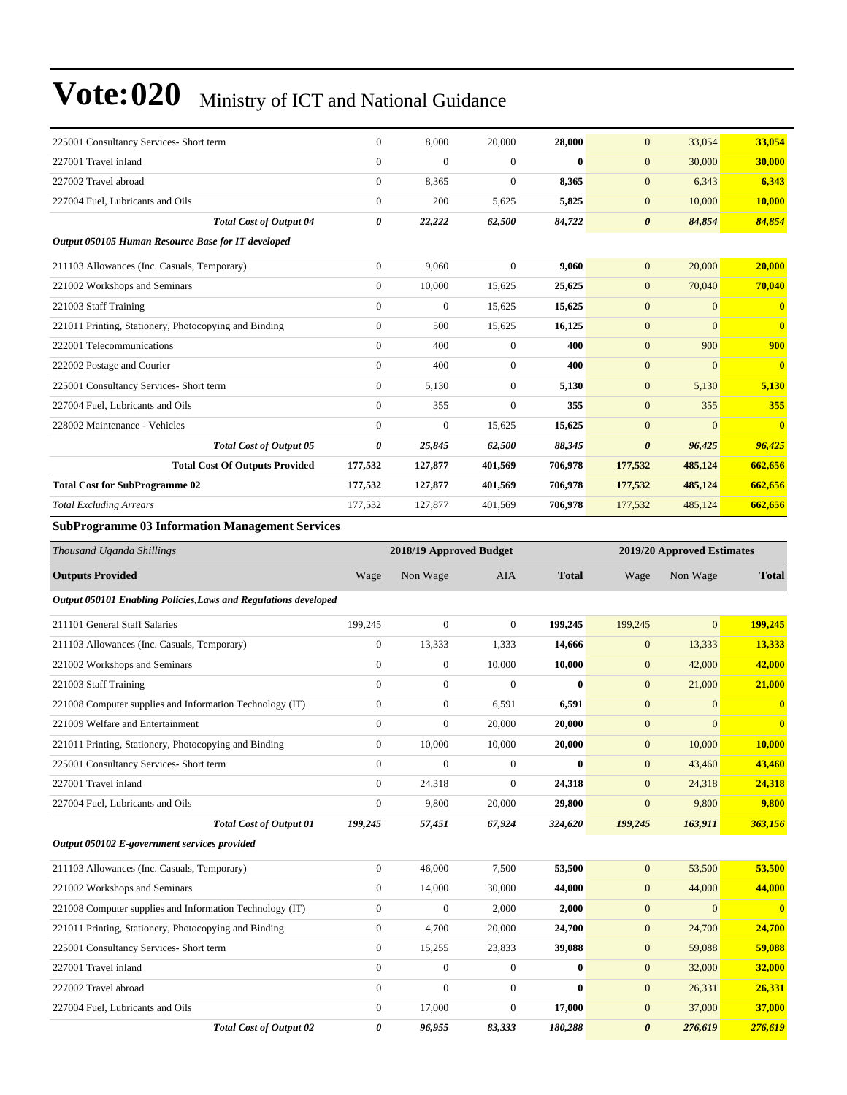| 225001 Consultancy Services- Short term                | $\mathbf{0}$          | 8,000          | 20,000         | 28,000   | $\overline{0}$        | 33,054         | 33,054                  |
|--------------------------------------------------------|-----------------------|----------------|----------------|----------|-----------------------|----------------|-------------------------|
| 227001 Travel inland                                   | $\mathbf{0}$          | $\mathbf{0}$   | $\overline{0}$ | $\bf{0}$ | $\mathbf{0}$          | 30,000         | 30,000                  |
| 227002 Travel abroad                                   | $\mathbf{0}$          | 8,365          | $\overline{0}$ | 8,365    | $\mathbf{0}$          | 6,343          | 6,343                   |
| 227004 Fuel, Lubricants and Oils                       | $\Omega$              | 200            | 5,625          | 5,825    | $\mathbf{0}$          | 10,000         | 10,000                  |
| <b>Total Cost of Output 04</b>                         | $\boldsymbol{\theta}$ | 22,222         | 62,500         | 84,722   | $\boldsymbol{\theta}$ | 84,854         | 84,854                  |
| Output 050105 Human Resource Base for IT developed     |                       |                |                |          |                       |                |                         |
| 211103 Allowances (Inc. Casuals, Temporary)            | $\mathbf{0}$          | 9,060          | $\overline{0}$ | 9,060    | $\overline{0}$        | 20,000         | 20,000                  |
| 221002 Workshops and Seminars                          | $\mathbf{0}$          | 10,000         | 15,625         | 25,625   | $\mathbf{0}$          | 70,040         | 70,040                  |
| 221003 Staff Training                                  | $\mathbf{0}$          | $\overline{0}$ | 15,625         | 15,625   | $\boldsymbol{0}$      | $\overline{0}$ | $\overline{\mathbf{0}}$ |
| 221011 Printing, Stationery, Photocopying and Binding  | $\mathbf{0}$          | 500            | 15,625         | 16,125   | $\mathbf{0}$          | $\overline{0}$ | $\mathbf{0}$            |
| 222001 Telecommunications                              | $\mathbf{0}$          | 400            | $\overline{0}$ | 400      | $\overline{0}$        | 900            | 900                     |
| 222002 Postage and Courier                             | $\Omega$              | 400            | $\overline{0}$ | 400      | $\overline{0}$        | $\Omega$       | $\overline{\mathbf{0}}$ |
| 225001 Consultancy Services- Short term                | $\mathbf{0}$          | 5,130          | $\overline{0}$ | 5,130    | $\mathbf{0}$          | 5,130          | 5,130                   |
| 227004 Fuel, Lubricants and Oils                       | $\mathbf{0}$          | 355            | $\overline{0}$ | 355      | $\overline{0}$        | 355            | 355                     |
| 228002 Maintenance - Vehicles                          | $\Omega$              | $\overline{0}$ | 15,625         | 15,625   | $\mathbf{0}$          | $\overline{0}$ | $\overline{\mathbf{0}}$ |
| <b>Total Cost of Output 05</b>                         | 0                     | 25,845         | 62,500         | 88,345   | $\boldsymbol{\theta}$ | 96,425         | 96,425                  |
| <b>Total Cost Of Outputs Provided</b>                  | 177,532               | 127,877        | 401,569        | 706,978  | 177,532               | 485,124        | 662,656                 |
| <b>Total Cost for SubProgramme 02</b>                  | 177,532               | 127,877        | 401,569        | 706,978  | 177,532               | 485,124        | 662,656                 |
| <b>Total Excluding Arrears</b>                         | 177,532               | 127,877        | 401,569        | 706,978  | 177,532               | 485,124        | 662,656                 |
| <b>SubProgramme 03 Information Management Services</b> |                       |                |                |          |                       |                |                         |

| Thousand Uganda Shillings                                       |                  | 2018/19 Approved Budget |              |              |                       | 2019/20 Approved Estimates |              |  |
|-----------------------------------------------------------------|------------------|-------------------------|--------------|--------------|-----------------------|----------------------------|--------------|--|
| <b>Outputs Provided</b>                                         | Wage             | Non Wage                | <b>AIA</b>   | <b>Total</b> | Wage                  | Non Wage                   | <b>Total</b> |  |
| Output 050101 Enabling Policies, Laws and Regulations developed |                  |                         |              |              |                       |                            |              |  |
| 211101 General Staff Salaries                                   | 199,245          | $\boldsymbol{0}$        | $\mathbf{0}$ | 199,245      | 199,245               | $\overline{0}$             | 199,245      |  |
| 211103 Allowances (Inc. Casuals, Temporary)                     | $\overline{0}$   | 13,333                  | 1,333        | 14,666       | $\mathbf{0}$          | 13,333                     | 13,333       |  |
| 221002 Workshops and Seminars                                   | $\overline{0}$   | $\boldsymbol{0}$        | 10,000       | 10,000       | $\mathbf{0}$          | 42,000                     | 42,000       |  |
| 221003 Staff Training                                           | $\overline{0}$   | $\boldsymbol{0}$        | $\mathbf{0}$ | $\mathbf{0}$ | $\overline{0}$        | 21,000                     | 21,000       |  |
| 221008 Computer supplies and Information Technology (IT)        | $\boldsymbol{0}$ | $\boldsymbol{0}$        | 6,591        | 6,591        | $\mathbf{0}$          | $\mathbf{0}$               | $\bf{0}$     |  |
| 221009 Welfare and Entertainment                                | $\overline{0}$   | $\boldsymbol{0}$        | 20,000       | 20,000       | $\mathbf{0}$          | $\mathbf{0}$               | $\bf{0}$     |  |
| 221011 Printing, Stationery, Photocopying and Binding           | $\boldsymbol{0}$ | 10,000                  | 10,000       | 20,000       | $\mathbf{0}$          | 10,000                     | 10,000       |  |
| 225001 Consultancy Services- Short term                         | $\overline{0}$   | $\mathbf{0}$            | $\Omega$     | $\mathbf{0}$ | $\overline{0}$        | 43,460                     | 43,460       |  |
| 227001 Travel inland                                            | $\overline{0}$   | 24,318                  | $\mathbf{0}$ | 24,318       | $\mathbf{0}$          | 24,318                     | 24,318       |  |
| 227004 Fuel, Lubricants and Oils                                | $\overline{0}$   | 9,800                   | 20,000       | 29,800       | $\overline{0}$        | 9,800                      | 9,800        |  |
| <b>Total Cost of Output 01</b>                                  | 199,245          | 57,451                  | 67,924       | 324,620      | 199,245               | 163,911                    | 363,156      |  |
| Output 050102 E-government services provided                    |                  |                         |              |              |                       |                            |              |  |
| 211103 Allowances (Inc. Casuals, Temporary)                     | $\overline{0}$   | 46,000                  | 7,500        | 53,500       | $\mathbf{0}$          | 53,500                     | 53,500       |  |
| 221002 Workshops and Seminars                                   | $\boldsymbol{0}$ | 14,000                  | 30,000       | 44,000       | $\mathbf{0}$          | 44,000                     | 44,000       |  |
| 221008 Computer supplies and Information Technology (IT)        | $\boldsymbol{0}$ | $\boldsymbol{0}$        | 2,000        | 2,000        | $\mathbf{0}$          | $\Omega$                   | $\mathbf{0}$ |  |
| 221011 Printing, Stationery, Photocopying and Binding           | $\boldsymbol{0}$ | 4,700                   | 20,000       | 24,700       | $\mathbf{0}$          | 24,700                     | 24,700       |  |
| 225001 Consultancy Services- Short term                         | $\overline{0}$   | 15,255                  | 23,833       | 39,088       | $\mathbf{0}$          | 59,088                     | 59,088       |  |
| 227001 Travel inland                                            | $\overline{0}$   | $\boldsymbol{0}$        | $\mathbf{0}$ | $\mathbf{0}$ | $\mathbf{0}$          | 32,000                     | 32,000       |  |
| 227002 Travel abroad                                            | $\overline{0}$   | $\overline{0}$          | $\mathbf{0}$ | $\mathbf{0}$ | $\mathbf{0}$          | 26,331                     | 26,331       |  |
| 227004 Fuel, Lubricants and Oils                                | $\overline{0}$   | 17,000                  | $\mathbf{0}$ | 17,000       | $\overline{0}$        | 37,000                     | 37,000       |  |
| <b>Total Cost of Output 02</b>                                  | 0                | 96,955                  | 83,333       | 180,288      | $\boldsymbol{\theta}$ | 276,619                    | 276,619      |  |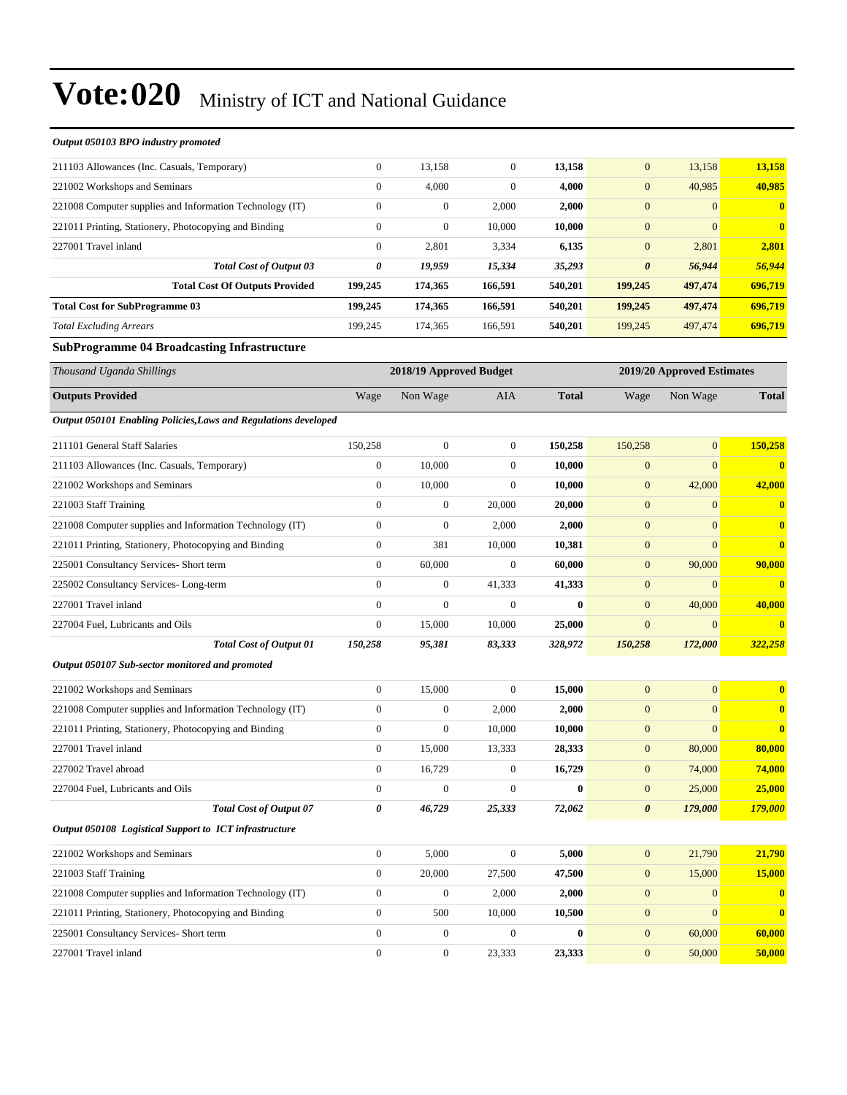| Output 050103 BPO industry promoted                             |                         |                  |                  |              |                       |                            |              |  |
|-----------------------------------------------------------------|-------------------------|------------------|------------------|--------------|-----------------------|----------------------------|--------------|--|
| 211103 Allowances (Inc. Casuals, Temporary)                     | $\boldsymbol{0}$        | 13,158           | $\boldsymbol{0}$ | 13,158       | $\mathbf{0}$          | 13,158                     | 13,158       |  |
| 221002 Workshops and Seminars                                   | $\boldsymbol{0}$        | 4,000            | $\boldsymbol{0}$ | 4,000        | $\mathbf{0}$          | 40,985                     | 40,985       |  |
| 221008 Computer supplies and Information Technology (IT)        | $\overline{0}$          | $\boldsymbol{0}$ | 2,000            | 2,000        | $\mathbf{0}$          | $\mathbf{0}$               | $\bf{0}$     |  |
| 221011 Printing, Stationery, Photocopying and Binding           | $\boldsymbol{0}$        | $\boldsymbol{0}$ | 10,000           | 10,000       | $\mathbf{0}$          | $\mathbf{0}$               | $\bf{0}$     |  |
| 227001 Travel inland                                            | $\boldsymbol{0}$        | 2,801            | 3,334            | 6,135        | $\mathbf{0}$          | 2,801                      | 2,801        |  |
| <b>Total Cost of Output 03</b>                                  | 0                       | 19,959           | 15,334           | 35,293       | $\boldsymbol{\theta}$ | 56,944                     | 56,944       |  |
| <b>Total Cost Of Outputs Provided</b>                           | 199,245                 | 174,365          | 166,591          | 540,201      | 199,245               | 497,474                    | 696,719      |  |
| <b>Total Cost for SubProgramme 03</b>                           | 199,245                 | 174,365          | 166,591          | 540,201      | 199,245               | 497,474                    | 696,719      |  |
| <b>Total Excluding Arrears</b>                                  | 199,245                 | 174,365          | 166,591          | 540,201      | 199,245               | 497,474                    | 696,719      |  |
| <b>SubProgramme 04 Broadcasting Infrastructure</b>              |                         |                  |                  |              |                       |                            |              |  |
| Thousand Uganda Shillings                                       | 2018/19 Approved Budget |                  |                  |              |                       | 2019/20 Approved Estimates |              |  |
| <b>Outputs Provided</b>                                         | Wage                    | Non Wage         | <b>AIA</b>       | <b>Total</b> | Wage                  | Non Wage                   | <b>Total</b> |  |
| Output 050101 Enabling Policies, Laws and Regulations developed |                         |                  |                  |              |                       |                            |              |  |
| 211101 General Staff Salaries                                   | 150,258                 | $\boldsymbol{0}$ | $\boldsymbol{0}$ | 150,258      | 150,258               | $\boldsymbol{0}$           | 150,258      |  |
| 211103 Allowances (Inc. Casuals, Temporary)                     | $\boldsymbol{0}$        | 10,000           | $\overline{0}$   | 10,000       | $\mathbf{0}$          | $\mathbf{0}$               | $\bf{0}$     |  |
| 221002 Workshops and Seminars                                   | $\boldsymbol{0}$        | 10,000           | $\overline{0}$   | 10,000       | $\mathbf{0}$          | 42,000                     | 42,000       |  |
| 221003 Staff Training                                           | $\overline{0}$          | $\boldsymbol{0}$ | 20,000           | 20,000       | $\boldsymbol{0}$      | $\boldsymbol{0}$           | $\bf{0}$     |  |
| 221008 Computer supplies and Information Technology (IT)        | $\boldsymbol{0}$        | $\boldsymbol{0}$ | 2,000            | 2,000        | $\mathbf{0}$          | $\mathbf{0}$               | $\bf{0}$     |  |
| 221011 Printing, Stationery, Photocopying and Binding           | $\boldsymbol{0}$        | 381              | 10,000           | 10,381       | $\mathbf{0}$          | $\mathbf{0}$               | $\bf{0}$     |  |
| 225001 Consultancy Services- Short term                         | $\boldsymbol{0}$        | 60,000           | $\overline{0}$   | 60,000       | $\mathbf{0}$          | 90,000                     | 90,000       |  |
| 225002 Consultancy Services-Long-term                           | $\boldsymbol{0}$        | $\boldsymbol{0}$ | 41,333           | 41,333       | $\mathbf{0}$          | $\mathbf{0}$               | $\bf{0}$     |  |
| 227001 Travel inland                                            | $\overline{0}$          | $\boldsymbol{0}$ | $\boldsymbol{0}$ | 0            | $\mathbf{0}$          | 40,000                     | 40,000       |  |
| 227004 Fuel, Lubricants and Oils                                | $\boldsymbol{0}$        | 15,000           | 10,000           | 25,000       | $\mathbf{0}$          | $\mathbf{0}$               | $\bf{0}$     |  |
| <b>Total Cost of Output 01</b>                                  | 150,258                 | 95,381           | 83,333           | 328,972      | 150,258               | 172,000                    | 322,258      |  |
| Output 050107 Sub-sector monitored and promoted                 |                         |                  |                  |              |                       |                            |              |  |
| 221002 Workshops and Seminars                                   | $\boldsymbol{0}$        | 15,000           | $\mathbf{0}$     | 15,000       | $\mathbf{0}$          | $\boldsymbol{0}$           | $\bf{0}$     |  |
| 221008 Computer supplies and Information Technology (IT)        | $\boldsymbol{0}$        | $\boldsymbol{0}$ | 2,000            | 2,000        | $\mathbf{0}$          | $\mathbf{0}$               | $\bf{0}$     |  |
| 221011 Printing, Stationery, Photocopying and Binding           | $\overline{0}$          | $\boldsymbol{0}$ | 10,000           | 10,000       | $\mathbf{0}$          | $\mathbf{0}$               | $\bf{0}$     |  |
| 227001 Travel inland                                            | $\boldsymbol{0}$        | 15,000           | 13,333           | 28,333       | $\mathbf{0}$          | 80,000                     | 80,000       |  |
| 227002 Travel abroad                                            | $\boldsymbol{0}$        | 16,729           | $\mathbf{0}$     | 16,729       | $\mathbf{0}$          | 74,000                     | 74,000       |  |
| 227004 Fuel, Lubricants and Oils                                | $\boldsymbol{0}$        | $\boldsymbol{0}$ | $\mathbf{0}$     | $\bf{0}$     | $\mathbf{0}$          | 25,000                     | 25,000       |  |
| <b>Total Cost of Output 07</b>                                  | 0                       | 46,729           | 25,333           | 72,062       | $\boldsymbol{\theta}$ | 179,000                    | 179,000      |  |
| Output 050108 Logistical Support to ICT infrastructure          |                         |                  |                  |              |                       |                            |              |  |
| 221002 Workshops and Seminars                                   | $\boldsymbol{0}$        | 5,000            | $\boldsymbol{0}$ | 5,000        | $\boldsymbol{0}$      | 21,790                     | 21,790       |  |
| 221003 Staff Training                                           | $\boldsymbol{0}$        | 20,000           | 27,500           | 47,500       | $\mathbf{0}$          | 15,000                     | 15,000       |  |
| 221008 Computer supplies and Information Technology (IT)        | $\boldsymbol{0}$        | $\boldsymbol{0}$ | 2,000            | 2,000        | $\mathbf{0}$          | $\mathbf{0}$               | $\bf{0}$     |  |
| 221011 Printing, Stationery, Photocopying and Binding           | $\boldsymbol{0}$        | 500              | 10,000           | 10,500       | $\mathbf{0}$          | $\mathbf{0}$               | $\bf{0}$     |  |
| 225001 Consultancy Services- Short term                         | $\boldsymbol{0}$        | $\boldsymbol{0}$ | $\boldsymbol{0}$ | $\bf{0}$     | $\mathbf{0}$          | 60,000                     | 60,000       |  |
| 227001 Travel inland                                            | $\boldsymbol{0}$        | $\boldsymbol{0}$ | 23,333           | 23,333       | $\mathbf{0}$          | 50,000                     | 50,000       |  |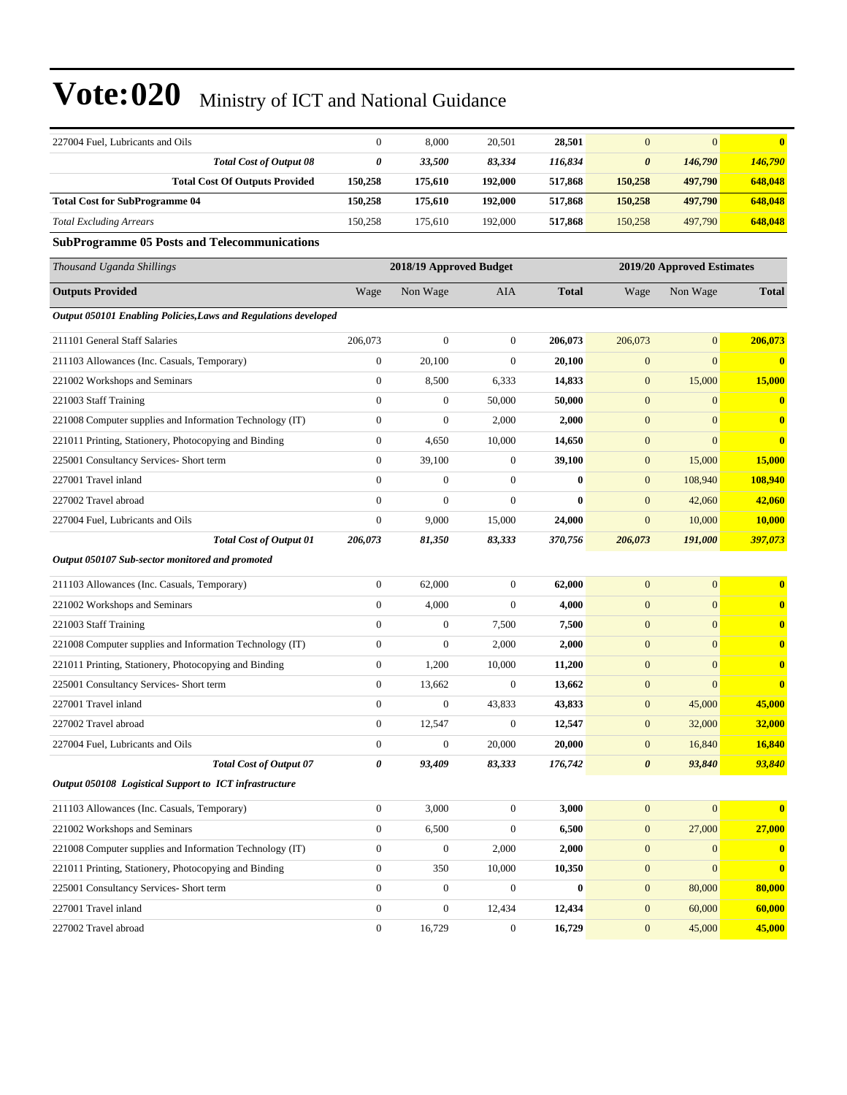| 227004 Fuel, Lubricants and Oils                                | $\boldsymbol{0}$ | 8,000                   | 20,501           | 28,501       | $\mathbf{0}$          | $\mathbf{0}$               | $\bf{0}$         |  |  |
|-----------------------------------------------------------------|------------------|-------------------------|------------------|--------------|-----------------------|----------------------------|------------------|--|--|
| <b>Total Cost of Output 08</b>                                  | 0                | 33,500                  | 83,334           | 116,834      | 0                     | 146,790                    | 146,790          |  |  |
| <b>Total Cost Of Outputs Provided</b>                           | 150,258          | 175,610                 | 192,000          | 517,868      | 150,258               | 497,790                    | 648,048          |  |  |
| <b>Total Cost for SubProgramme 04</b>                           | 150,258          | 175,610                 | 192,000          | 517,868      | 150,258               | 497,790                    | 648,048          |  |  |
| <b>Total Excluding Arrears</b>                                  | 150,258          | 175,610                 | 192,000          | 517,868      | 150,258               | 497,790                    | 648,048          |  |  |
| <b>SubProgramme 05 Posts and Telecommunications</b>             |                  |                         |                  |              |                       |                            |                  |  |  |
| Thousand Uganda Shillings                                       |                  | 2018/19 Approved Budget |                  |              |                       | 2019/20 Approved Estimates |                  |  |  |
| <b>Outputs Provided</b>                                         | Wage             | Non Wage                | AIA              | <b>Total</b> | Wage                  | Non Wage                   | <b>Total</b>     |  |  |
| Output 050101 Enabling Policies, Laws and Regulations developed |                  |                         |                  |              |                       |                            |                  |  |  |
| 211101 General Staff Salaries                                   | 206,073          | $\boldsymbol{0}$        | $\mathbf{0}$     | 206,073      | 206,073               | $\mathbf{0}$               | 206,073          |  |  |
| 211103 Allowances (Inc. Casuals, Temporary)                     | $\boldsymbol{0}$ | 20,100                  | $\mathbf{0}$     | 20,100       | $\boldsymbol{0}$      | $\mathbf{0}$               | $\boldsymbol{0}$ |  |  |
| 221002 Workshops and Seminars                                   | $\boldsymbol{0}$ | 8,500                   | 6,333            | 14,833       | $\boldsymbol{0}$      | 15,000                     | 15,000           |  |  |
| 221003 Staff Training                                           | $\mathbf{0}$     | $\boldsymbol{0}$        | 50,000           | 50,000       | $\mathbf{0}$          | $\mathbf{0}$               | $\bf{0}$         |  |  |
| 221008 Computer supplies and Information Technology (IT)        | $\boldsymbol{0}$ | $\boldsymbol{0}$        | 2,000            | 2,000        | $\mathbf{0}$          | $\mathbf{0}$               | $\bf{0}$         |  |  |
| 221011 Printing, Stationery, Photocopying and Binding           | $\boldsymbol{0}$ | 4,650                   | 10,000           | 14,650       | $\mathbf{0}$          | $\mathbf{0}$               | $\bf{0}$         |  |  |
| 225001 Consultancy Services- Short term                         | $\boldsymbol{0}$ | 39,100                  | $\boldsymbol{0}$ | 39,100       | $\mathbf{0}$          | 15,000                     | <b>15,000</b>    |  |  |
| 227001 Travel inland                                            | $\boldsymbol{0}$ | $\boldsymbol{0}$        | $\mathbf{0}$     | $\bf{0}$     | $\mathbf{0}$          | 108,940                    | 108,940          |  |  |
| 227002 Travel abroad                                            | $\mathbf{0}$     | $\overline{0}$          | $\mathbf{0}$     | $\bf{0}$     | $\mathbf{0}$          | 42,060                     | 42,060           |  |  |
| 227004 Fuel, Lubricants and Oils                                | $\mathbf{0}$     | 9,000                   | 15,000           | 24,000       | $\mathbf{0}$          | 10,000                     | 10,000           |  |  |
| <b>Total Cost of Output 01</b>                                  | 206,073          | 81,350                  | 83,333           | 370,756      | 206,073               | 191,000                    | 397,073          |  |  |
| Output 050107 Sub-sector monitored and promoted                 |                  |                         |                  |              |                       |                            |                  |  |  |
| 211103 Allowances (Inc. Casuals, Temporary)                     | $\boldsymbol{0}$ | 62,000                  | $\mathbf{0}$     | 62,000       | $\mathbf{0}$          | $\boldsymbol{0}$           | $\bf{0}$         |  |  |
| 221002 Workshops and Seminars                                   | $\boldsymbol{0}$ | 4,000                   | $\mathbf{0}$     | 4,000        | $\mathbf{0}$          | $\mathbf{0}$               | $\bf{0}$         |  |  |
| 221003 Staff Training                                           | $\boldsymbol{0}$ | $\boldsymbol{0}$        | 7,500            | 7,500        | $\boldsymbol{0}$      | $\mathbf{0}$               | $\bf{0}$         |  |  |
| 221008 Computer supplies and Information Technology (IT)        | $\boldsymbol{0}$ | $\boldsymbol{0}$        | 2,000            | 2,000        | $\boldsymbol{0}$      | $\boldsymbol{0}$           | $\mathbf{0}$     |  |  |
| 221011 Printing, Stationery, Photocopying and Binding           | $\boldsymbol{0}$ | 1,200                   | 10,000           | 11,200       | $\boldsymbol{0}$      | $\overline{0}$             | $\bf{0}$         |  |  |
| 225001 Consultancy Services- Short term                         | $\boldsymbol{0}$ | 13,662                  | $\theta$         | 13,662       | $\boldsymbol{0}$      | $\boldsymbol{0}$           | $\bf{0}$         |  |  |
| 227001 Travel inland                                            | $\boldsymbol{0}$ | $\boldsymbol{0}$        | 43,833           | 43,833       | $\mathbf{0}$          | 45,000                     | 45,000           |  |  |
| 227002 Travel abroad                                            | $\boldsymbol{0}$ | 12,547                  | $\boldsymbol{0}$ | 12,547       | $\boldsymbol{0}$      | 32,000                     | 32,000           |  |  |
| 227004 Fuel, Lubricants and Oils                                | $\mathbf{0}$     | $\mathbf{0}$            | 20,000           | 20,000       | $\overline{0}$        | 16,840                     | 16,840           |  |  |
| <b>Total Cost of Output 07</b>                                  | $\pmb{\theta}$   | 93,409                  | 83,333           | 176,742      | $\boldsymbol{\theta}$ | 93,840                     | 93,840           |  |  |
| Output 050108 Logistical Support to ICT infrastructure          |                  |                         |                  |              |                       |                            |                  |  |  |
| 211103 Allowances (Inc. Casuals, Temporary)                     | $\boldsymbol{0}$ | 3,000                   | $\mathbf{0}$     | 3,000        | $\mathbf{0}$          | $\mathbf{0}$               | $\bf{0}$         |  |  |
| 221002 Workshops and Seminars                                   | $\boldsymbol{0}$ | 6,500                   | $\mathbf{0}$     | 6,500        | $\mathbf{0}$          | 27,000                     | 27,000           |  |  |
| 221008 Computer supplies and Information Technology (IT)        | $\boldsymbol{0}$ | $\boldsymbol{0}$        | 2,000            | 2,000        | $\boldsymbol{0}$      | $\mathbf{0}$               | $\bf{0}$         |  |  |
| 221011 Printing, Stationery, Photocopying and Binding           | $\boldsymbol{0}$ | 350                     | 10,000           | 10,350       | $\mathbf{0}$          | $\mathbf{0}$               | $\mathbf{0}$     |  |  |
| 225001 Consultancy Services- Short term                         | $\boldsymbol{0}$ | $\boldsymbol{0}$        | $\mathbf{0}$     | $\bf{0}$     | $\mathbf{0}$          | 80,000                     | 80,000           |  |  |
| 227001 Travel inland                                            | $\boldsymbol{0}$ | $\boldsymbol{0}$        | 12,434           | 12,434       | $\mathbf{0}$          | 60,000                     | 60,000           |  |  |
| 227002 Travel abroad                                            | $\boldsymbol{0}$ | 16,729                  | $\boldsymbol{0}$ | 16,729       | $\mathbf{0}$          | 45,000                     | 45,000           |  |  |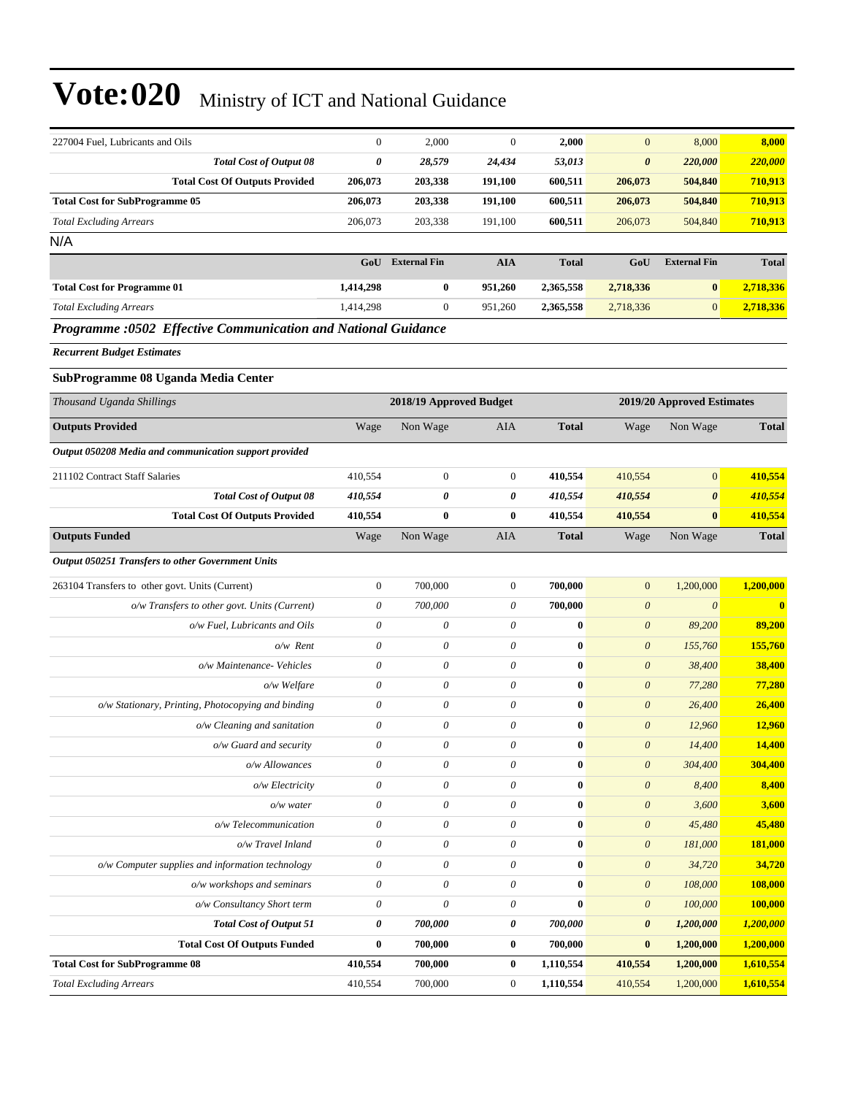| 227004 Fuel, Lubricants and Oils                              | $\boldsymbol{0}$          | 2,000                     | $\mathbf{0}$              | 2,000            | $\mathbf{0}$               | 8,000                 | 8,000         |
|---------------------------------------------------------------|---------------------------|---------------------------|---------------------------|------------------|----------------------------|-----------------------|---------------|
| <b>Total Cost of Output 08</b>                                | $\pmb{\theta}$            | 28,579                    | 24,434                    | 53,013           | $\boldsymbol{\theta}$      | 220,000               | 220,000       |
| <b>Total Cost Of Outputs Provided</b>                         | 206,073                   | 203,338                   | 191,100                   | 600,511          | 206,073                    | 504,840               | 710,913       |
| <b>Total Cost for SubProgramme 05</b>                         | 206,073                   | 203,338                   | 191,100                   | 600,511          | 206,073                    | 504,840               | 710,913       |
| <b>Total Excluding Arrears</b>                                | 206,073                   | 203,338                   | 191,100                   | 600,511          | 206,073                    | 504,840               | 710,913       |
| N/A                                                           |                           |                           |                           |                  |                            |                       |               |
|                                                               | GoU                       | <b>External Fin</b>       | <b>AIA</b>                | <b>Total</b>     | GoU                        | <b>External Fin</b>   | <b>Total</b>  |
| <b>Total Cost for Programme 01</b>                            | 1,414,298                 | $\bf{0}$                  | 951,260                   | 2,365,558        | 2,718,336                  | $\bf{0}$              | 2,718,336     |
| <b>Total Excluding Arrears</b>                                | 1,414,298                 | $\boldsymbol{0}$          | 951,260                   | 2,365,558        | 2,718,336                  | $\mathbf{0}$          | 2,718,336     |
| Programme :0502 Effective Communication and National Guidance |                           |                           |                           |                  |                            |                       |               |
| <b>Recurrent Budget Estimates</b>                             |                           |                           |                           |                  |                            |                       |               |
| SubProgramme 08 Uganda Media Center                           |                           |                           |                           |                  |                            |                       |               |
| Thousand Uganda Shillings                                     |                           | 2018/19 Approved Budget   |                           |                  | 2019/20 Approved Estimates |                       |               |
| <b>Outputs Provided</b>                                       | Wage                      | Non Wage                  | AIA                       | <b>Total</b>     | Wage                       | Non Wage              | <b>Total</b>  |
| Output 050208 Media and communication support provided        |                           |                           |                           |                  |                            |                       |               |
| 211102 Contract Staff Salaries                                | 410,554                   | $\boldsymbol{0}$          | $\mathbf{0}$              | 410,554          | 410,554                    | $\mathbf{0}$          | 410,554       |
| <b>Total Cost of Output 08</b>                                | 410,554                   | 0                         | 0                         | 410,554          | 410,554                    | $\boldsymbol{\theta}$ | 410,554       |
| <b>Total Cost Of Outputs Provided</b>                         | 410.554                   | $\bf{0}$                  | $\bf{0}$                  | 410,554          | 410,554                    | $\bf{0}$              | 410,554       |
| <b>Outputs Funded</b>                                         | Wage                      | Non Wage                  | AIA                       | <b>Total</b>     | Wage                       | Non Wage              | <b>Total</b>  |
| Output 050251 Transfers to other Government Units             |                           |                           |                           |                  |                            |                       |               |
| 263104 Transfers to other govt. Units (Current)               | $\mathbf{0}$              | 700,000                   | $\boldsymbol{0}$          | 700,000          | $\mathbf{0}$               | 1,200,000             | 1,200,000     |
| o/w Transfers to other govt. Units (Current)                  | $\theta$                  | 700,000                   | 0                         | 700,000          | $\boldsymbol{\theta}$      | $\boldsymbol{\theta}$ | $\bf{0}$      |
| o/w Fuel, Lubricants and Oils                                 | $\theta$                  | 0                         | 0                         | $\bf{0}$         | $\theta$                   | 89,200                | 89,200        |
| o/w Rent                                                      | $\boldsymbol{\theta}$     | 0                         | 0                         | 0                | $\boldsymbol{\theta}$      | 155,760               | 155,760       |
| o/w Maintenance- Vehicles                                     | $\theta$                  | $\theta$                  | 0                         | 0                | $\boldsymbol{\theta}$      | 38,400                | 38,400        |
| o/w Welfare                                                   | $\theta$                  | 0                         | 0                         | $\bf{0}$         | $\boldsymbol{\theta}$      | 77,280                | 77,280        |
| o/w Stationary, Printing, Photocopying and binding            | $\boldsymbol{\theta}$     | 0                         | $\theta$                  | 0                | $\boldsymbol{\theta}$      | 26,400                | 26,400        |
| o/w Cleaning and sanitation                                   | $\theta$                  | 0                         | 0                         | $\bf{0}$         | $\boldsymbol{\theta}$      | 12,960                | 12,960        |
| o/w Guard and security                                        | $\theta$                  | $\theta$                  | $\theta$                  | $\bf{0}$         | $\theta$                   | 14,400                | <b>14,400</b> |
| o/w Allowances                                                | $\boldsymbol{\theta}$     | $\boldsymbol{\mathit{0}}$ | 0                         | $\bf{0}$         | $\boldsymbol{\mathit{0}}$  | 304,400               | 304,400       |
| o/w Electricity                                               | $\boldsymbol{\theta}$     | $\boldsymbol{\mathit{0}}$ | $\boldsymbol{\mathit{0}}$ | $\boldsymbol{0}$ | $\boldsymbol{\mathit{0}}$  | 8,400                 | 8,400         |
| o/w water                                                     | $\boldsymbol{\mathit{0}}$ | 0                         | 0                         | $\bf{0}$         | $\boldsymbol{\mathit{0}}$  | 3,600                 | 3,600         |
| o/w Telecommunication                                         | $\boldsymbol{\theta}$     | 0                         | 0                         | $\boldsymbol{0}$ | $\boldsymbol{\mathit{0}}$  | 45,480                | 45,480        |
| o/w Travel Inland                                             | $\theta$                  | 0                         | 0                         | $\bf{0}$         | $\boldsymbol{\mathit{0}}$  | 181,000               | 181,000       |
| o/w Computer supplies and information technology              | $\theta$                  | $\boldsymbol{\mathit{0}}$ | $\boldsymbol{\mathit{0}}$ | $\bf{0}$         | $\boldsymbol{\mathit{0}}$  | 34,720                | 34,720        |
| o/w workshops and seminars                                    | $\boldsymbol{\theta}$     | 0                         | 0                         | $\bf{0}$         | $\boldsymbol{\mathit{0}}$  | 108,000               | 108,000       |
| o/w Consultancy Short term                                    | $\boldsymbol{\theta}$     | 0                         | $\boldsymbol{\mathit{0}}$ | $\bf{0}$         | $\boldsymbol{\mathit{0}}$  | 100,000               | 100,000       |
| <b>Total Cost of Output 51</b>                                | 0                         | 700,000                   | 0                         | 700,000          | 0                          | 1,200,000             | 1,200,000     |
| <b>Total Cost Of Outputs Funded</b>                           | $\bf{0}$                  | 700,000                   | $\bf{0}$                  | 700,000          | $\bf{0}$                   | 1,200,000             | 1,200,000     |
| <b>Total Cost for SubProgramme 08</b>                         | 410,554                   | 700,000                   | $\bf{0}$                  | 1,110,554        | 410,554                    | 1,200,000             | 1,610,554     |
| <b>Total Excluding Arrears</b>                                | 410,554                   | 700,000                   | $\boldsymbol{0}$          | 1,110,554        | 410,554                    | 1,200,000             | 1,610,554     |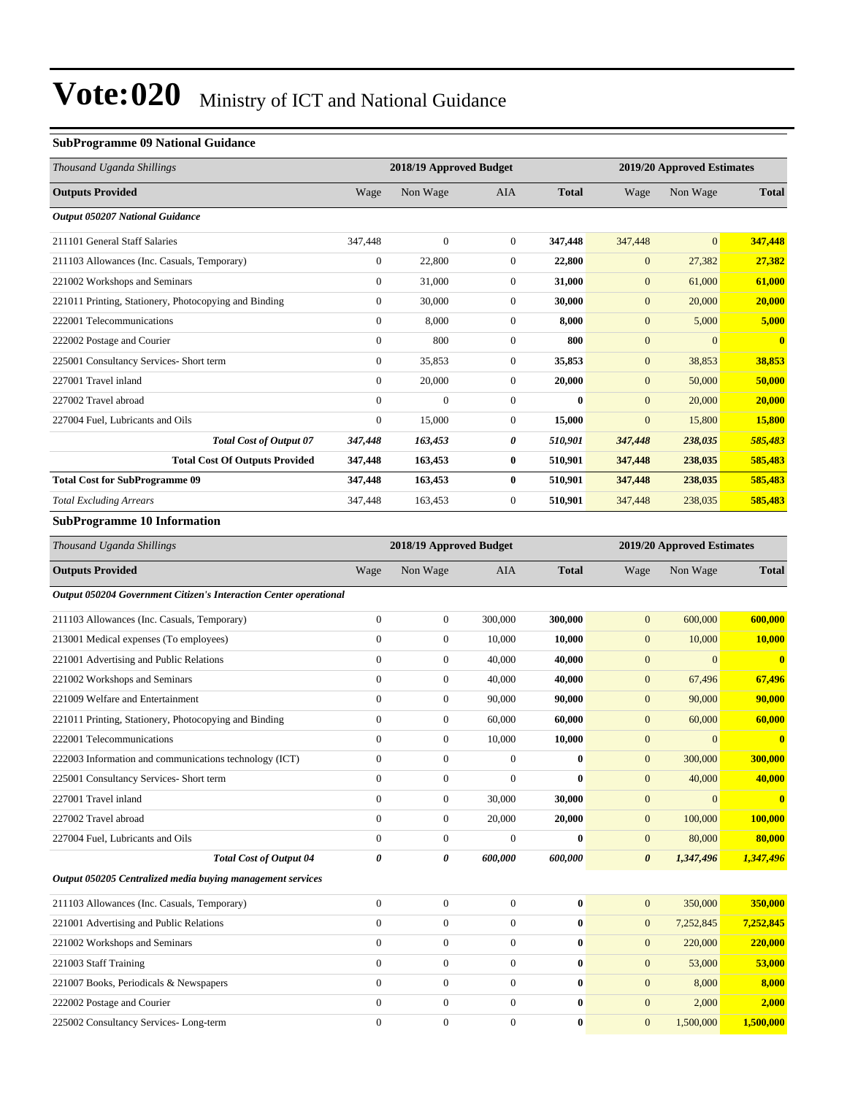#### **SubProgramme 09 National Guidance**

| Thousand Uganda Shillings                             |                | 2018/19 Approved Budget |                |              | 2019/20 Approved Estimates |                |                         |  |
|-------------------------------------------------------|----------------|-------------------------|----------------|--------------|----------------------------|----------------|-------------------------|--|
| <b>Outputs Provided</b>                               | Wage           | Non Wage                | <b>AIA</b>     | <b>Total</b> | Wage                       | Non Wage       | <b>Total</b>            |  |
| <b>Output 050207 National Guidance</b>                |                |                         |                |              |                            |                |                         |  |
| 211101 General Staff Salaries                         | 347,448        | $\overline{0}$          | $\overline{0}$ | 347,448      | 347,448                    | $\overline{0}$ | 347,448                 |  |
| 211103 Allowances (Inc. Casuals, Temporary)           | $\mathbf{0}$   | 22,800                  | $\mathbf{0}$   | 22,800       | $\mathbf{0}$               | 27,382         | 27,382                  |  |
| 221002 Workshops and Seminars                         | $\mathbf{0}$   | 31,000                  | $\overline{0}$ | 31,000       | $\mathbf{0}$               | 61,000         | 61,000                  |  |
| 221011 Printing, Stationery, Photocopying and Binding | $\mathbf{0}$   | 30,000                  | $\mathbf{0}$   | 30,000       | $\mathbf{0}$               | 20,000         | 20,000                  |  |
| 222001 Telecommunications                             | $\overline{0}$ | 8,000                   | $\overline{0}$ | 8,000        | $\mathbf{0}$               | 5,000          | 5,000                   |  |
| 222002 Postage and Courier                            | $\mathbf{0}$   | 800                     | $\mathbf{0}$   | 800          | $\mathbf{0}$               | $\overline{0}$ | $\overline{\mathbf{0}}$ |  |
| 225001 Consultancy Services- Short term               | $\overline{0}$ | 35,853                  | 0              | 35,853       | $\mathbf{0}$               | 38,853         | 38,853                  |  |
| 227001 Travel inland                                  | $\mathbf{0}$   | 20,000                  | $\overline{0}$ | 20,000       | $\mathbf{0}$               | 50,000         | 50,000                  |  |
| 227002 Travel abroad                                  | $\mathbf{0}$   | $\overline{0}$          | $\mathbf{0}$   | $\bf{0}$     | $\mathbf{0}$               | 20,000         | 20,000                  |  |
| 227004 Fuel, Lubricants and Oils                      | $\mathbf{0}$   | 15,000                  | 0              | 15,000       | $\mathbf{0}$               | 15,800         | 15,800                  |  |
| <b>Total Cost of Output 07</b>                        | 347,448        | 163,453                 | 0              | 510,901      | 347,448                    | 238,035        | 585,483                 |  |
| <b>Total Cost Of Outputs Provided</b>                 | 347,448        | 163,453                 | $\bf{0}$       | 510,901      | 347,448                    | 238,035        | 585,483                 |  |
| <b>Total Cost for SubProgramme 09</b>                 | 347,448        | 163,453                 | $\bf{0}$       | 510,901      | 347,448                    | 238,035        | 585,483                 |  |
| <b>Total Excluding Arrears</b>                        | 347,448        | 163,453                 | 0              | 510,901      | 347,448                    | 238,035        | 585,483                 |  |
| <b>SubProgramme 10 Information</b>                    |                |                         |                |              |                            |                |                         |  |

| Thousand Uganda Shillings                                         |                  | 2018/19 Approved Budget |              |              |                       | 2019/20 Approved Estimates |              |
|-------------------------------------------------------------------|------------------|-------------------------|--------------|--------------|-----------------------|----------------------------|--------------|
| <b>Outputs Provided</b>                                           | Wage             | Non Wage                | <b>AIA</b>   | <b>Total</b> | Wage                  | Non Wage                   | <b>Total</b> |
| Output 050204 Government Citizen's Interaction Center operational |                  |                         |              |              |                       |                            |              |
| 211103 Allowances (Inc. Casuals, Temporary)                       | $\overline{0}$   | $\boldsymbol{0}$        | 300,000      | 300,000      | $\mathbf{0}$          | 600,000                    | 600,000      |
| 213001 Medical expenses (To employees)                            | $\theta$         | $\overline{0}$          | 10,000       | 10,000       | $\overline{0}$        | 10,000                     | 10,000       |
| 221001 Advertising and Public Relations                           | $\overline{0}$   | $\boldsymbol{0}$        | 40,000       | 40,000       | $\mathbf{0}$          | $\Omega$                   | $\bf{0}$     |
| 221002 Workshops and Seminars                                     | $\overline{0}$   | $\boldsymbol{0}$        | 40,000       | 40,000       | $\mathbf{0}$          | 67,496                     | 67,496       |
| 221009 Welfare and Entertainment                                  | $\Omega$         | $\overline{0}$          | 90,000       | 90,000       | $\mathbf{0}$          | 90,000                     | 90,000       |
| 221011 Printing, Stationery, Photocopying and Binding             | $\Omega$         | $\boldsymbol{0}$        | 60,000       | 60,000       | $\mathbf{0}$          | 60,000                     | 60,000       |
| 222001 Telecommunications                                         | $\Omega$         | $\boldsymbol{0}$        | 10,000       | 10,000       | $\mathbf{0}$          | $\Omega$                   | $\bf{0}$     |
| 222003 Information and communications technology (ICT)            | $\overline{0}$   | $\boldsymbol{0}$        | $\Omega$     | $\bf{0}$     | $\mathbf{0}$          | 300,000                    | 300,000      |
| 225001 Consultancy Services- Short term                           | $\overline{0}$   | $\overline{0}$          | $\mathbf{0}$ | $\bf{0}$     | $\mathbf{0}$          | 40,000                     | 40,000       |
| 227001 Travel inland                                              | $\Omega$         | $\boldsymbol{0}$        | 30,000       | 30,000       | $\mathbf{0}$          | $\Omega$                   | $\bf{0}$     |
| 227002 Travel abroad                                              | $\overline{0}$   | $\boldsymbol{0}$        | 20,000       | 20,000       | $\mathbf{0}$          | 100,000                    | 100,000      |
| 227004 Fuel, Lubricants and Oils                                  | $\overline{0}$   | $\boldsymbol{0}$        | $\mathbf{0}$ | $\bf{0}$     | $\boldsymbol{0}$      | 80,000                     | 80,000       |
| <b>Total Cost of Output 04</b>                                    | $\theta$         | 0                       | 600,000      | 600,000      | $\boldsymbol{\theta}$ | 1,347,496                  | 1,347,496    |
| Output 050205 Centralized media buying management services        |                  |                         |              |              |                       |                            |              |
| 211103 Allowances (Inc. Casuals, Temporary)                       | $\boldsymbol{0}$ | $\boldsymbol{0}$        | $\theta$     | $\bf{0}$     | $\mathbf{0}$          | 350,000                    | 350,000      |
| 221001 Advertising and Public Relations                           | $\overline{0}$   | $\overline{0}$          | $\theta$     | $\bf{0}$     | $\mathbf{0}$          | 7,252,845                  | 7,252,845    |
| 221002 Workshops and Seminars                                     | $\mathbf{0}$     | $\boldsymbol{0}$        | $\theta$     | $\bf{0}$     | $\mathbf{0}$          | 220,000                    | 220,000      |
| 221003 Staff Training                                             | $\mathbf{0}$     | $\boldsymbol{0}$        | $\theta$     | $\bf{0}$     | $\mathbf{0}$          | 53,000                     | 53,000       |
| 221007 Books, Periodicals & Newspapers                            | $\mathbf{0}$     | $\overline{0}$          | $\theta$     | $\bf{0}$     | $\overline{0}$        | 8,000                      | 8,000        |
| 222002 Postage and Courier                                        | $\mathbf{0}$     | $\boldsymbol{0}$        | $\theta$     | $\bf{0}$     | $\overline{0}$        | 2,000                      | 2,000        |
| 225002 Consultancy Services-Long-term                             | $\mathbf{0}$     | $\overline{0}$          | $\theta$     | $\bf{0}$     | $\overline{0}$        | 1,500,000                  | 1,500,000    |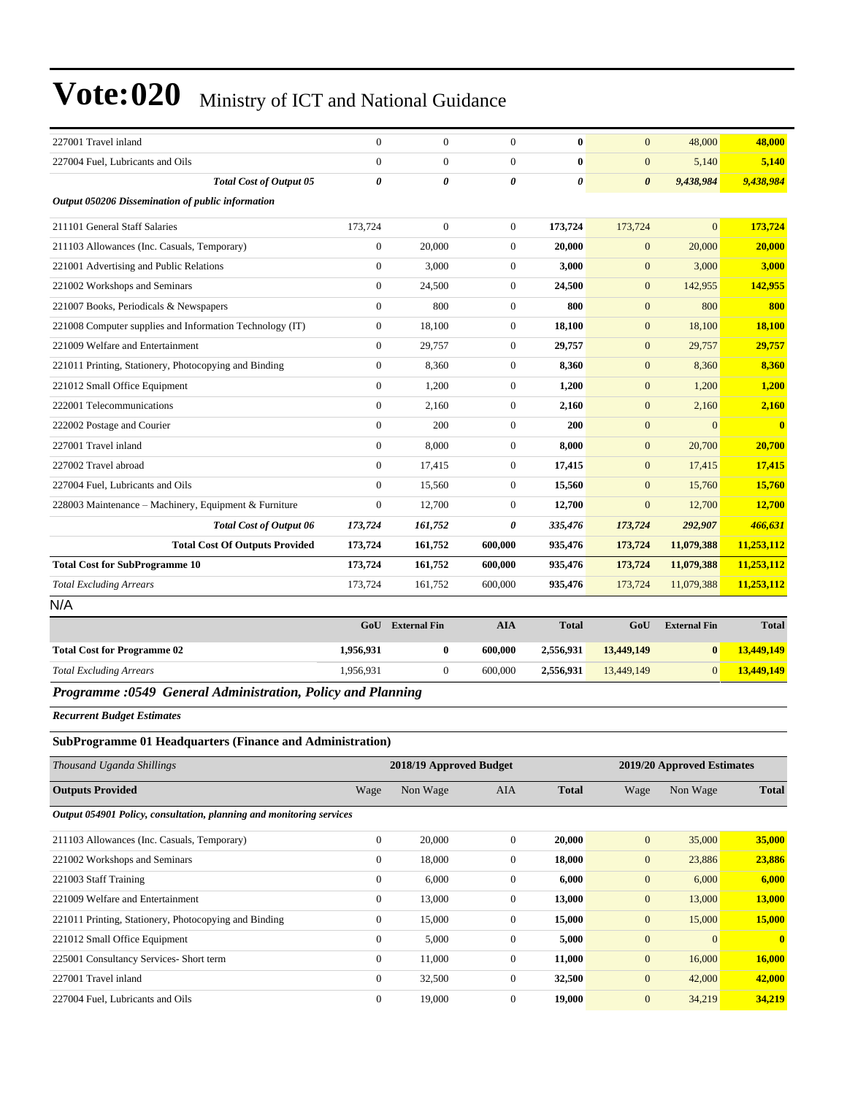| 227001 Travel inland                                     | $\overline{0}$   | $\overline{0}$ | $\Omega$              | $\mathbf{0}$ | $\overline{0}$        | 48,000       | 48,000     |
|----------------------------------------------------------|------------------|----------------|-----------------------|--------------|-----------------------|--------------|------------|
| 227004 Fuel, Lubricants and Oils                         | $\overline{0}$   | $\overline{0}$ | $\Omega$              | $\mathbf{0}$ | $\overline{0}$        | 5,140        | 5,140      |
| <b>Total Cost of Output 05</b>                           | 0                | 0              | $\boldsymbol{\theta}$ | 0            | $\boldsymbol{\theta}$ | 9,438,984    | 9,438,984  |
| Output 050206 Dissemination of public information        |                  |                |                       |              |                       |              |            |
| 211101 General Staff Salaries                            | 173,724          | $\overline{0}$ | $\Omega$              | 173,724      | 173,724               | $\Omega$     | 173,724    |
| 211103 Allowances (Inc. Casuals, Temporary)              | $\boldsymbol{0}$ | 20,000         | $\mathbf{0}$          | 20,000       | $\boldsymbol{0}$      | 20,000       | 20,000     |
| 221001 Advertising and Public Relations                  | $\overline{0}$   | 3,000          | $\overline{0}$        | 3,000        | $\overline{0}$        | 3,000        | 3,000      |
| 221002 Workshops and Seminars                            | $\overline{0}$   | 24,500         | $\mathbf{0}$          | 24,500       | $\overline{0}$        | 142,955      | 142,955    |
| 221007 Books, Periodicals & Newspapers                   | $\overline{0}$   | 800            | $\mathbf{0}$          | 800          | $\overline{0}$        | 800          | 800        |
| 221008 Computer supplies and Information Technology (IT) | $\overline{0}$   | 18,100         | $\mathbf{0}$          | 18,100       | $\mathbf{0}$          | 18,100       | 18,100     |
| 221009 Welfare and Entertainment                         | $\Omega$         | 29,757         | $\overline{0}$        | 29,757       | $\overline{0}$        | 29,757       | 29,757     |
| 221011 Printing, Stationery, Photocopying and Binding    | $\overline{0}$   | 8,360          | $\overline{0}$        | 8,360        | $\mathbf{0}$          | 8,360        | 8,360      |
| 221012 Small Office Equipment                            | $\overline{0}$   | 1,200          | $\overline{0}$        | 1,200        | $\mathbf{0}$          | 1,200        | 1,200      |
| 222001 Telecommunications                                | $\overline{0}$   | 2,160          | $\overline{0}$        | 2,160        | $\overline{0}$        | 2,160        | 2,160      |
| 222002 Postage and Courier                               | $\overline{0}$   | 200            | $\mathbf{0}$          | 200          | $\mathbf{0}$          | $\mathbf{0}$ | $\bf{0}$   |
| 227001 Travel inland                                     | $\overline{0}$   | 8,000          | $\mathbf{0}$          | 8,000        | $\mathbf{0}$          | 20,700       | 20,700     |
| 227002 Travel abroad                                     | $\overline{0}$   | 17,415         | $\mathbf{0}$          | 17,415       | $\boldsymbol{0}$      | 17,415       | 17,415     |
| 227004 Fuel, Lubricants and Oils                         | $\overline{0}$   | 15,560         | $\overline{0}$        | 15,560       | $\overline{0}$        | 15,760       | 15,760     |
| 228003 Maintenance - Machinery, Equipment & Furniture    | $\overline{0}$   | 12,700         | $\mathbf{0}$          | 12,700       | $\overline{0}$        | 12,700       | 12,700     |
| <b>Total Cost of Output 06</b>                           | 173,724          | 161,752        | 0                     | 335,476      | 173,724               | 292,907      | 466,631    |
| <b>Total Cost Of Outputs Provided</b>                    | 173,724          | 161,752        | 600,000               | 935,476      | 173,724               | 11,079,388   | 11,253,112 |
| <b>Total Cost for SubProgramme 10</b>                    | 173,724          | 161,752        | 600,000               | 935,476      | 173,724               | 11,079,388   | 11,253,112 |
| <b>Total Excluding Arrears</b>                           | 173,724          | 161,752        | 600,000               | 935,476      | 173,724               | 11,079,388   | 11,253,112 |
| N/A                                                      |                  |                |                       |              |                       |              |            |

|                                                                                                                                                                                                                                                                                                  | GoU       | <b>External Fin</b> | AIA     | <b>Total</b> | GoU        | <b>External Fin</b> | <b>Total</b> |
|--------------------------------------------------------------------------------------------------------------------------------------------------------------------------------------------------------------------------------------------------------------------------------------------------|-----------|---------------------|---------|--------------|------------|---------------------|--------------|
| <b>Total Cost for Programme 02</b>                                                                                                                                                                                                                                                               | 1.956.931 |                     | 600,000 | 2,556,931    | 13,449,149 | $\mathbf{0}$        | 13,449,149   |
| <b>Total Excluding Arrears</b>                                                                                                                                                                                                                                                                   | 1.956.931 |                     | 600,000 | 2,556,931    | 13,449,149 | $\Omega$            | 13,449,149   |
| $\mathbf{D}$ and $\mathbf{A}$ and $\mathbf{A}$ are $\mathbf{A}$ and $\mathbf{A}$ are $\mathbf{A}$ and $\mathbf{A}$ are $\mathbf{A}$ and $\mathbf{A}$ are $\mathbf{A}$ and $\mathbf{A}$ are $\mathbf{A}$ and $\mathbf{A}$ are $\mathbf{A}$ and $\mathbf{A}$ are $\mathbf{A}$ and $\mathbf{A}$ are |           |                     |         |              |            |                     |              |

#### *Programme :0549 General Administration, Policy and Planning*

*Recurrent Budget Estimates*

#### **SubProgramme 01 Headquarters (Finance and Administration)**

| Thousand Uganda Shillings                                            |              | 2018/19 Approved Budget |              |              |                | 2019/20 Approved Estimates |               |  |  |
|----------------------------------------------------------------------|--------------|-------------------------|--------------|--------------|----------------|----------------------------|---------------|--|--|
| <b>Outputs Provided</b>                                              | Wage         | Non Wage                | <b>AIA</b>   | <b>Total</b> | Wage           | Non Wage                   | <b>Total</b>  |  |  |
| Output 054901 Policy, consultation, planning and monitoring services |              |                         |              |              |                |                            |               |  |  |
| 211103 Allowances (Inc. Casuals, Temporary)                          | $\mathbf{0}$ | 20,000                  | $\Omega$     | 20,000       | $\mathbf{0}$   | 35,000                     | 35,000        |  |  |
| 221002 Workshops and Seminars                                        | $\mathbf{0}$ | 18,000                  | $\mathbf{0}$ | 18,000       | $\mathbf{0}$   | 23,886                     | 23,886        |  |  |
| 221003 Staff Training                                                | $\mathbf{0}$ | 6,000                   | $\mathbf{0}$ | 6,000        | $\mathbf{0}$   | 6,000                      | 6,000         |  |  |
| 221009 Welfare and Entertainment                                     | $\mathbf{0}$ | 13,000                  | $\mathbf{0}$ | 13,000       | $\mathbf{0}$   | 13,000                     | <b>13,000</b> |  |  |
| 221011 Printing, Stationery, Photocopying and Binding                | $\mathbf{0}$ | 15,000                  | $\mathbf{0}$ | 15,000       | $\mathbf{0}$   | 15,000                     | 15,000        |  |  |
| 221012 Small Office Equipment                                        | $\mathbf{0}$ | 5,000                   | $\mathbf{0}$ | 5,000        | $\mathbf{0}$   | $\overline{0}$             | $\mathbf{0}$  |  |  |
| 225001 Consultancy Services- Short term                              | $\mathbf{0}$ | 11,000                  | $\mathbf{0}$ | 11,000       | $\mathbf{0}$   | 16,000                     | 16,000        |  |  |
| 227001 Travel inland                                                 | $\mathbf{0}$ | 32,500                  | $\mathbf{0}$ | 32,500       | $\overline{0}$ | 42,000                     | 42,000        |  |  |
| 227004 Fuel, Lubricants and Oils                                     | $\mathbf{0}$ | 19,000                  | $\mathbf{0}$ | 19,000       | $\overline{0}$ | 34,219                     | 34,219        |  |  |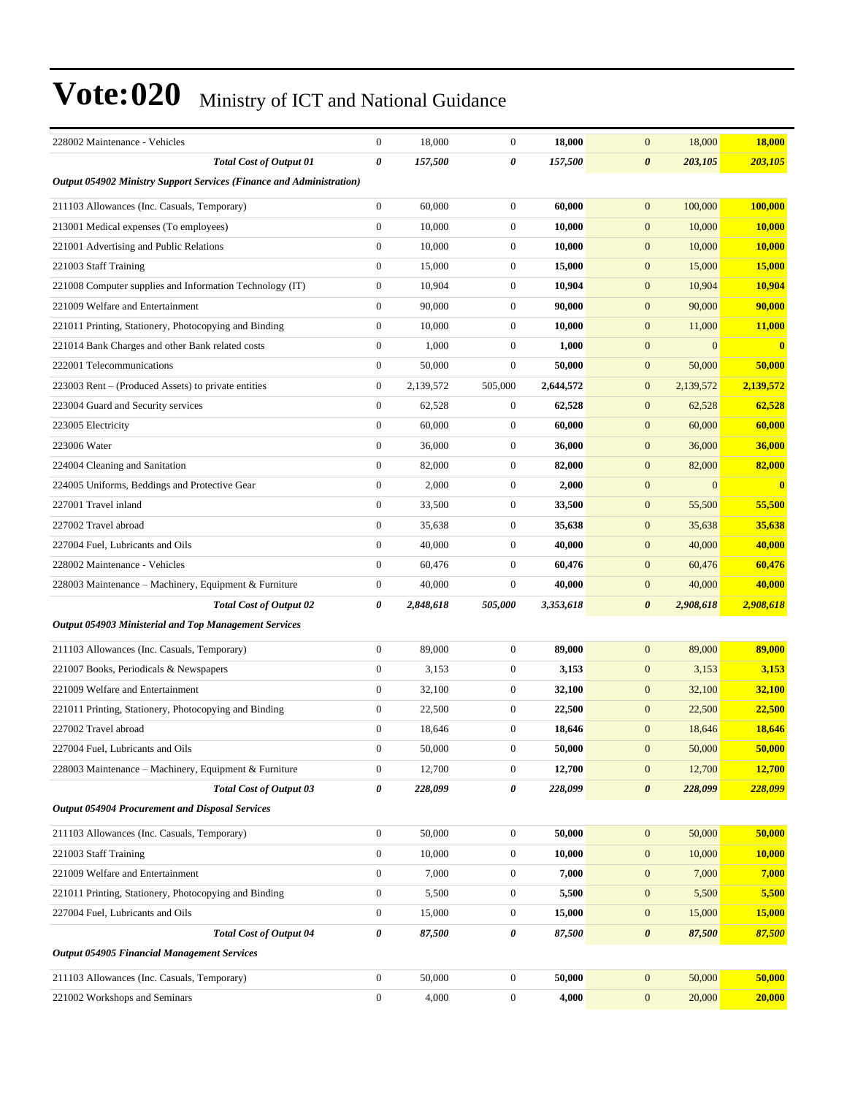| 228002 Maintenance - Vehicles                                        | $\mathbf{0}$          | 18,000    | $\mathbf{0}$     | 18,000    | 18,000<br>$\mathbf{0}$           | 18,000        |
|----------------------------------------------------------------------|-----------------------|-----------|------------------|-----------|----------------------------------|---------------|
| <b>Total Cost of Output 01</b>                                       | $\boldsymbol{\theta}$ | 157,500   | 0                | 157,500   | $\boldsymbol{\theta}$<br>203,105 | 203,105       |
| Output 054902 Ministry Support Services (Finance and Administration) |                       |           |                  |           |                                  |               |
| 211103 Allowances (Inc. Casuals, Temporary)                          | $\boldsymbol{0}$      | 60,000    | $\boldsymbol{0}$ | 60,000    | 100,000<br>$\boldsymbol{0}$      | 100,000       |
| 213001 Medical expenses (To employees)                               | 0                     | 10,000    | $\boldsymbol{0}$ | 10,000    | $\boldsymbol{0}$<br>10,000       | 10,000        |
| 221001 Advertising and Public Relations                              | 0                     | 10,000    | $\boldsymbol{0}$ | 10,000    | $\boldsymbol{0}$<br>10,000       | <b>10,000</b> |
| 221003 Staff Training                                                | $\mathbf{0}$          | 15,000    | $\boldsymbol{0}$ | 15.000    | $\boldsymbol{0}$<br>15,000       | 15,000        |
| 221008 Computer supplies and Information Technology (IT)             | 0                     | 10,904    | $\boldsymbol{0}$ | 10,904    | $\boldsymbol{0}$<br>10,904       | 10,904        |
| 221009 Welfare and Entertainment                                     | $\boldsymbol{0}$      | 90,000    | $\boldsymbol{0}$ | 90,000    | $\boldsymbol{0}$<br>90,000       | 90,000        |
| 221011 Printing, Stationery, Photocopying and Binding                | $\boldsymbol{0}$      | 10,000    | $\boldsymbol{0}$ | 10,000    | $\boldsymbol{0}$<br>11,000       | 11,000        |
| 221014 Bank Charges and other Bank related costs                     | 0                     | 1,000     | $\boldsymbol{0}$ | 1,000     | $\overline{0}$<br>$\Omega$       | $\bf{0}$      |
| 222001 Telecommunications                                            | $\mathbf{0}$          | 50,000    | $\boldsymbol{0}$ | 50,000    | $\boldsymbol{0}$<br>50,000       | 50,000        |
| 223003 Rent - (Produced Assets) to private entities                  | 0                     | 2,139,572 | 505,000          | 2,644,572 | $\mathbf{0}$<br>2,139,572        | 2,139,572     |
| 223004 Guard and Security services                                   | $\boldsymbol{0}$      | 62,528    | $\boldsymbol{0}$ | 62,528    | $\mathbf{0}$<br>62,528           | 62,528        |
| 223005 Electricity                                                   | 0                     | 60,000    | $\mathbf{0}$     | 60,000    | $\boldsymbol{0}$<br>60,000       | 60,000        |
| 223006 Water                                                         | 0                     | 36,000    | $\boldsymbol{0}$ | 36,000    | $\boldsymbol{0}$<br>36,000       | 36,000        |
| 224004 Cleaning and Sanitation                                       | $\mathbf{0}$          | 82,000    | $\mathbf{0}$     | 82,000    | $\boldsymbol{0}$<br>82,000       | 82,000        |
| 224005 Uniforms, Beddings and Protective Gear                        | $\overline{0}$        | 2,000     | $\mathbf{0}$     | 2,000     | $\boldsymbol{0}$<br>$\mathbf{0}$ | $\bf{0}$      |
| 227001 Travel inland                                                 | $\boldsymbol{0}$      | 33,500    | $\mathbf{0}$     | 33,500    | $\boldsymbol{0}$<br>55,500       | 55,500        |
| 227002 Travel abroad                                                 | 0                     | 35,638    | $\mathbf{0}$     | 35,638    | $\boldsymbol{0}$<br>35,638       | 35,638        |
| 227004 Fuel, Lubricants and Oils                                     | 0                     | 40,000    | $\boldsymbol{0}$ | 40,000    | $\boldsymbol{0}$<br>40,000       | 40,000        |
| 228002 Maintenance - Vehicles                                        | $\mathbf{0}$          | 60,476    | $\boldsymbol{0}$ | 60,476    | $\boldsymbol{0}$<br>60,476       | 60,476        |
| 228003 Maintenance - Machinery, Equipment & Furniture                | 0                     | 40,000    | $\mathbf{0}$     | 40,000    | $\mathbf{0}$<br>40,000           | 40,000        |
| <b>Total Cost of Output 02</b>                                       | 0                     | 2,848,618 | 505,000          | 3,353,618 | $\pmb{\theta}$<br>2,908,618      | 2,908,618     |
| Output 054903 Ministerial and Top Management Services                |                       |           |                  |           |                                  |               |
| 211103 Allowances (Inc. Casuals, Temporary)                          | 0                     | 89,000    | $\boldsymbol{0}$ | 89,000    | $\mathbf{0}$<br>89,000           | 89,000        |
| 221007 Books, Periodicals & Newspapers                               | 0                     | 3,153     | $\mathbf{0}$     | 3,153     | $\mathbf{0}$<br>3,153            | 3,153         |
| 221009 Welfare and Entertainment                                     | $\mathbf{0}$          | 32,100    | $\mathbf{0}$     | 32,100    | $\boldsymbol{0}$<br>32,100       | 32,100        |
| 221011 Printing, Stationery, Photocopying and Binding                | $\boldsymbol{0}$      | 22,500    | $\mathbf{0}$     | 22,500    | $\mathbf{0}$<br>22,500           | 22,500        |
| 227002 Travel abroad                                                 | $\mathbf{0}$          | 18,646    | $\mathbf{0}$     | 18,646    | 18,646<br>$\mathbf{0}$           | 18,646        |
| 227004 Fuel, Lubricants and Oils                                     | $\boldsymbol{0}$      | 50,000    | $\boldsymbol{0}$ | 50,000    | $\boldsymbol{0}$<br>50,000       | 50,000        |
| 228003 Maintenance – Machinery, Equipment & Furniture                | 0                     | 12,700    | $\boldsymbol{0}$ | 12,700    | $\boldsymbol{0}$<br>12,700       | <b>12,700</b> |
| <b>Total Cost of Output 03</b>                                       | 0                     | 228,099   | $\pmb{\theta}$   | 228,099   | $\boldsymbol{\theta}$<br>228,099 | 228,099       |
| <b>Output 054904 Procurement and Disposal Services</b>               |                       |           |                  |           |                                  |               |
| 211103 Allowances (Inc. Casuals, Temporary)                          | $\boldsymbol{0}$      | 50,000    | $\boldsymbol{0}$ | 50,000    | $\mathbf{0}$<br>50,000           | 50,000        |
| 221003 Staff Training                                                | $\boldsymbol{0}$      | 10,000    | $\boldsymbol{0}$ | 10,000    | 10,000<br>$\mathbf{0}$           | 10,000        |
| 221009 Welfare and Entertainment                                     | 0                     | 7,000     | $\boldsymbol{0}$ | 7,000     | $\mathbf{0}$<br>7,000            | 7,000         |
| 221011 Printing, Stationery, Photocopying and Binding                | 0                     | 5,500     | $\boldsymbol{0}$ | 5,500     | $\mathbf{0}$<br>5,500            | 5,500         |
| 227004 Fuel, Lubricants and Oils                                     | $\boldsymbol{0}$      | 15,000    | $\boldsymbol{0}$ | 15,000    | $\mathbf{0}$<br>15,000           | 15,000        |
| <b>Total Cost of Output 04</b>                                       | 0                     | 87,500    | $\pmb{\theta}$   | 87,500    | $\boldsymbol{\theta}$<br>87,500  | 87,500        |
| <b>Output 054905 Financial Management Services</b>                   |                       |           |                  |           |                                  |               |
|                                                                      |                       |           |                  |           |                                  | 50,000        |
| 211103 Allowances (Inc. Casuals, Temporary)                          | $\mathbf{0}$          | 50,000    | $\boldsymbol{0}$ | 50,000    | $\boldsymbol{0}$<br>50,000       |               |
| 221002 Workshops and Seminars                                        | $\boldsymbol{0}$      | 4,000     | $\boldsymbol{0}$ | 4,000     | $\mathbf{0}$<br>20,000           | 20,000        |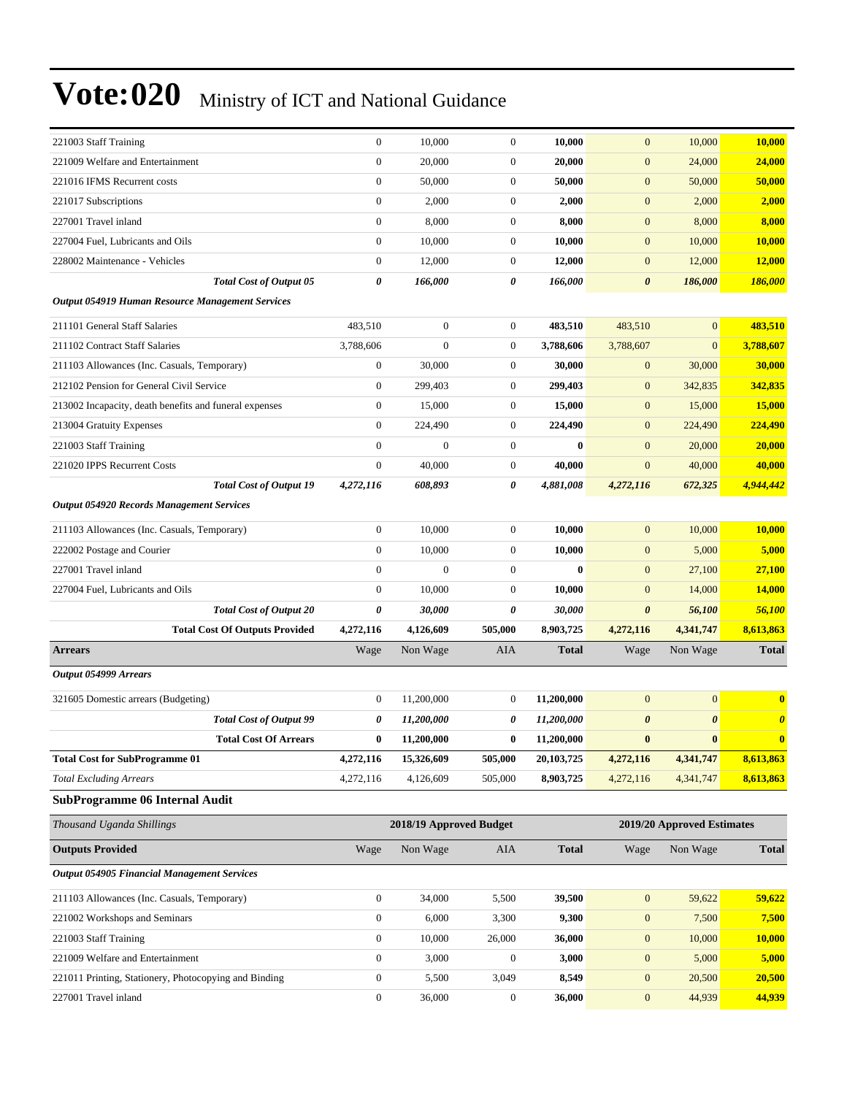| 221003 Staff Training                                   | $\boldsymbol{0}$ | 10,000                  | $\boldsymbol{0}$      | 10,000       | $\mathbf{0}$          | 10,000                     | 10,000                |
|---------------------------------------------------------|------------------|-------------------------|-----------------------|--------------|-----------------------|----------------------------|-----------------------|
| 221009 Welfare and Entertainment                        | $\boldsymbol{0}$ | 20,000                  | $\boldsymbol{0}$      | 20,000       | $\mathbf{0}$          | 24,000                     | 24,000                |
| 221016 IFMS Recurrent costs                             | $\boldsymbol{0}$ | 50,000                  | $\mathbf{0}$          | 50,000       | $\mathbf{0}$          | 50,000                     | 50,000                |
| 221017 Subscriptions                                    | $\boldsymbol{0}$ | 2,000                   | $\boldsymbol{0}$      | 2,000        | $\boldsymbol{0}$      | 2,000                      | 2,000                 |
| 227001 Travel inland                                    | $\overline{0}$   | 8,000                   | $\boldsymbol{0}$      | 8,000        | $\mathbf{0}$          | 8,000                      | 8,000                 |
| 227004 Fuel, Lubricants and Oils                        | $\boldsymbol{0}$ | 10,000                  | $\boldsymbol{0}$      | 10,000       | $\boldsymbol{0}$      | 10,000                     | 10,000                |
| 228002 Maintenance - Vehicles                           | $\boldsymbol{0}$ | 12,000                  | $\boldsymbol{0}$      | 12,000       | $\boldsymbol{0}$      | 12,000                     | 12,000                |
| <b>Total Cost of Output 05</b>                          | 0                | 166,000                 | 0                     | 166,000      | $\boldsymbol{\theta}$ | 186,000                    | 186,000               |
| <b>Output 054919 Human Resource Management Services</b> |                  |                         |                       |              |                       |                            |                       |
| 211101 General Staff Salaries                           | 483,510          | $\boldsymbol{0}$        | $\mathbf{0}$          | 483,510      | 483,510               | $\mathbf{0}$               | 483,510               |
| 211102 Contract Staff Salaries                          | 3,788,606        | $\boldsymbol{0}$        | $\mathbf{0}$          | 3,788,606    | 3,788,607             | $\mathbf{0}$               | 3,788,607             |
| 211103 Allowances (Inc. Casuals, Temporary)             | $\boldsymbol{0}$ | 30,000                  | $\mathbf{0}$          | 30,000       | $\mathbf{0}$          | 30,000                     | 30,000                |
| 212102 Pension for General Civil Service                | $\boldsymbol{0}$ | 299,403                 | $\mathbf{0}$          | 299,403      | $\mathbf{0}$          | 342,835                    | 342,835               |
| 213002 Incapacity, death benefits and funeral expenses  | $\boldsymbol{0}$ | 15,000                  | $\mathbf{0}$          | 15,000       | $\mathbf{0}$          | 15,000                     | 15,000                |
| 213004 Gratuity Expenses                                | $\overline{0}$   | 224,490                 | $\mathbf{0}$          | 224,490      | $\boldsymbol{0}$      | 224,490                    | 224,490               |
| 221003 Staff Training                                   | $\boldsymbol{0}$ | $\boldsymbol{0}$        | $\mathbf{0}$          | $\bf{0}$     | $\mathbf{0}$          | 20,000                     | 20,000                |
| 221020 IPPS Recurrent Costs                             | $\boldsymbol{0}$ | 40,000                  | $\mathbf{0}$          | 40,000       | $\mathbf{0}$          | 40,000                     | 40,000                |
| <b>Total Cost of Output 19</b>                          | 4,272,116        | 608,893                 | 0                     | 4,881,008    | 4,272,116             | 672,325                    | 4,944,442             |
| <b>Output 054920 Records Management Services</b>        |                  |                         |                       |              |                       |                            |                       |
| 211103 Allowances (Inc. Casuals, Temporary)             | $\boldsymbol{0}$ | 10,000                  | $\mathbf{0}$          | 10,000       | $\mathbf{0}$          | 10,000                     | 10,000                |
| 222002 Postage and Courier                              | $\overline{0}$   | 10,000                  | $\boldsymbol{0}$      | 10,000       | $\overline{0}$        | 5,000                      | 5,000                 |
| 227001 Travel inland                                    | $\overline{0}$   | $\mathbf{0}$            | $\theta$              | $\bf{0}$     | $\mathbf{0}$          | 27,100                     | 27,100                |
| 227004 Fuel, Lubricants and Oils                        | $\overline{0}$   | 10,000                  | $\theta$              | 10,000       | $\mathbf{0}$          | 14,000                     | 14,000                |
| <b>Total Cost of Output 20</b>                          | 0                | 30,000                  | 0                     | 30,000       | $\boldsymbol{\theta}$ | 56,100                     | 56,100                |
| <b>Total Cost Of Outputs Provided</b>                   | 4,272,116        | 4,126,609               | 505,000               | 8,903,725    | 4,272,116             | 4,341,747                  | 8,613,863             |
| <b>Arrears</b>                                          | Wage             | Non Wage                | AIA                   | Total        | Wage                  | Non Wage                   | <b>Total</b>          |
| Output 054999 Arrears                                   |                  |                         |                       |              |                       |                            |                       |
| 321605 Domestic arrears (Budgeting)                     | $\boldsymbol{0}$ | 11.200.000              | $\mathbf{0}$          | 11,200,000   | $\overline{0}$        | $\boldsymbol{0}$           | $\bf{0}$              |
| <b>Total Cost of Output 99</b>                          | 0                | 11,200,000              | $\boldsymbol{\theta}$ | 11,200,000   | $\boldsymbol{\theta}$ | $\boldsymbol{\theta}$      | $\boldsymbol{\theta}$ |
| <b>Total Cost Of Arrears</b>                            | $\bf{0}$         | 11,200,000              | $\bf{0}$              | 11,200,000   | $\bf{0}$              | $\bf{0}$                   | $\mathbf{0}$          |
| <b>Total Cost for SubProgramme 01</b>                   | 4,272,116        | 15,326,609              | 505,000               | 20,103,725   | 4,272,116             | 4,341,747                  | 8,613,863             |
| <b>Total Excluding Arrears</b>                          | 4,272,116        | 4,126,609               | 505,000               | 8,903,725    | 4,272,116             | 4,341,747                  | 8,613,863             |
| <b>SubProgramme 06 Internal Audit</b>                   |                  |                         |                       |              |                       |                            |                       |
| Thousand Uganda Shillings                               |                  | 2018/19 Approved Budget |                       |              |                       | 2019/20 Approved Estimates |                       |
| <b>Outputs Provided</b>                                 | Wage             | Non Wage                | AIA                   | <b>Total</b> | Wage                  | Non Wage                   | <b>Total</b>          |
| <b>Output 054905 Financial Management Services</b>      |                  |                         |                       |              |                       |                            |                       |
| 211103 Allowances (Inc. Casuals, Temporary)             | $\boldsymbol{0}$ | 34,000                  | 5,500                 | 39,500       | $\boldsymbol{0}$      | 59,622                     | 59,622                |
| 221002 Workshops and Seminars                           | $\boldsymbol{0}$ | 6,000                   | 3,300                 | 9,300        | $\boldsymbol{0}$      | 7,500                      | 7,500                 |
| 221003 Staff Training                                   | $\boldsymbol{0}$ | 10,000                  | 26,000                | 36,000       | $\boldsymbol{0}$      | 10,000                     | <b>10,000</b>         |
| 221009 Welfare and Entertainment                        | $\boldsymbol{0}$ | 3,000                   | $\mathbf{0}$          | 3,000        | $\boldsymbol{0}$      | 5,000                      | 5,000                 |
| 221011 Printing, Stationery, Photocopying and Binding   | $\boldsymbol{0}$ | 5,500                   | 3,049                 | 8,549        | $\mathbf{0}$          | 20,500                     | 20,500                |
| 227001 Travel inland                                    | $\boldsymbol{0}$ | 36,000                  | $\boldsymbol{0}$      | 36,000       | $\mathbf{0}$          | 44,939                     | 44,939                |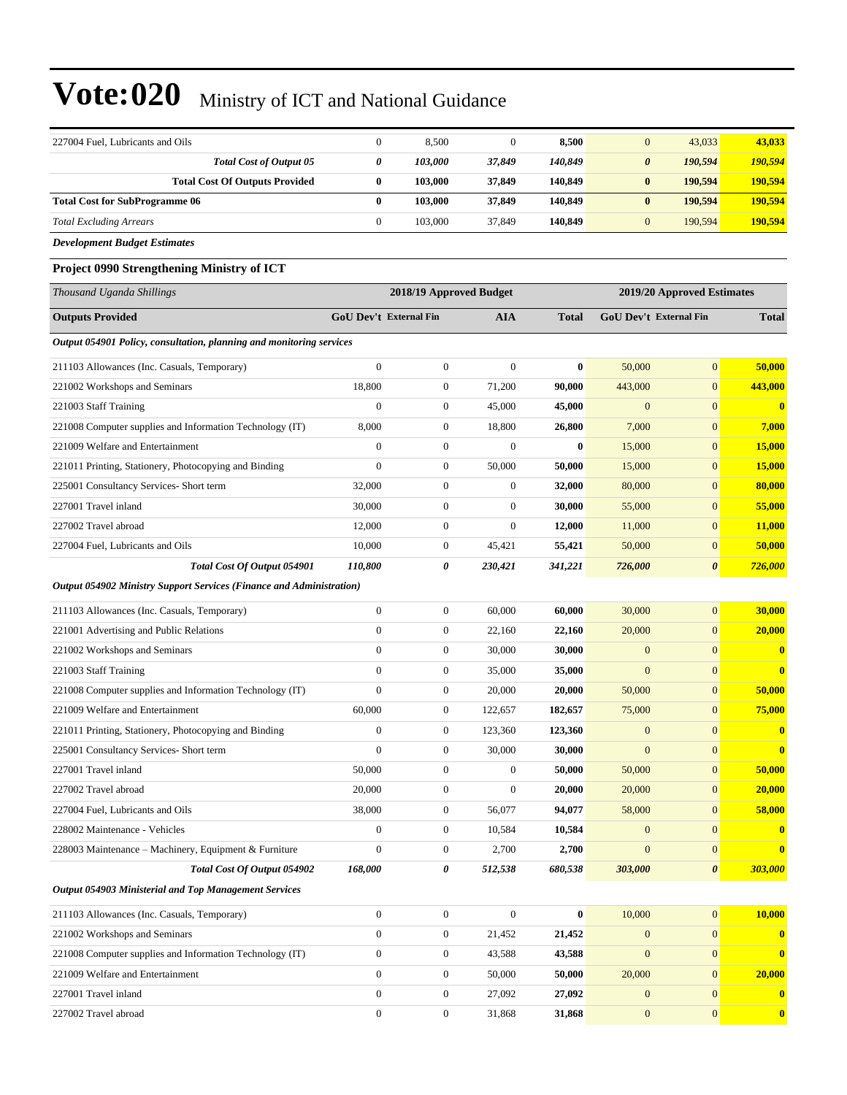| 227004 Fuel, Lubricants and Oils                                     | $\mathbf{0}$           | 8,500                   | $\boldsymbol{0}$ | 8,500            | $\mathbf{0}$          | 43,033                        | 43,033           |
|----------------------------------------------------------------------|------------------------|-------------------------|------------------|------------------|-----------------------|-------------------------------|------------------|
| Total Cost of Output 05                                              | 0                      | 103,000                 | 37,849           | 140,849          | $\boldsymbol{\theta}$ | 190,594                       | 190,594          |
| <b>Total Cost Of Outputs Provided</b>                                | $\bf{0}$               | 103,000                 | 37,849           | 140,849          | $\bf{0}$              | 190,594                       | 190,594          |
| <b>Total Cost for SubProgramme 06</b>                                | $\bf{0}$               | 103,000                 | 37,849           | 140,849          | $\bf{0}$              | 190,594                       | 190,594          |
| <b>Total Excluding Arrears</b>                                       | $\mathbf{0}$           | 103,000                 | 37,849           | 140,849          | $\mathbf{0}$          | 190,594                       | 190,594          |
| <b>Development Budget Estimates</b>                                  |                        |                         |                  |                  |                       |                               |                  |
| Project 0990 Strengthening Ministry of ICT                           |                        |                         |                  |                  |                       |                               |                  |
| Thousand Uganda Shillings                                            |                        | 2018/19 Approved Budget |                  |                  |                       | 2019/20 Approved Estimates    |                  |
| <b>Outputs Provided</b>                                              | GoU Dev't External Fin |                         | AIA              | <b>Total</b>     |                       | <b>GoU Dev't External Fin</b> | <b>Total</b>     |
| Output 054901 Policy, consultation, planning and monitoring services |                        |                         |                  |                  |                       |                               |                  |
| 211103 Allowances (Inc. Casuals, Temporary)                          | $\mathbf{0}$           | $\boldsymbol{0}$        | $\overline{0}$   | $\bf{0}$         | 50,000                | $\mathbf{0}$                  | 50,000           |
| 221002 Workshops and Seminars                                        | 18,800                 | $\boldsymbol{0}$        | 71,200           | 90,000           | 443,000               | $\mathbf{0}$                  | 443,000          |
| 221003 Staff Training                                                | $\boldsymbol{0}$       | $\boldsymbol{0}$        | 45,000           | 45,000           | $\mathbf{0}$          | $\mathbf{0}$                  | $\boldsymbol{0}$ |
| 221008 Computer supplies and Information Technology (IT)             | 8,000                  | $\boldsymbol{0}$        | 18,800           | 26,800           | 7,000                 | $\mathbf{0}$                  | 7,000            |
| 221009 Welfare and Entertainment                                     | $\boldsymbol{0}$       | $\boldsymbol{0}$        | $\mathbf{0}$     | $\bf{0}$         | 15,000                | $\mathbf{0}$                  | 15,000           |
| 221011 Printing, Stationery, Photocopying and Binding                | $\mathbf{0}$           | $\boldsymbol{0}$        | 50,000           | 50,000           | 15,000                | $\mathbf{0}$                  | 15,000           |
| 225001 Consultancy Services- Short term                              | 32,000                 | $\boldsymbol{0}$        | $\boldsymbol{0}$ | 32,000           | 80,000                | $\mathbf{0}$                  | 80,000           |
| 227001 Travel inland                                                 | 30,000                 | $\boldsymbol{0}$        | $\overline{0}$   | 30,000           | 55,000                | $\mathbf{0}$                  | 55,000           |
| 227002 Travel abroad                                                 | 12,000                 | $\boldsymbol{0}$        | $\boldsymbol{0}$ | 12,000           | 11,000                | $\mathbf{0}$                  | 11,000           |
| 227004 Fuel, Lubricants and Oils                                     | 10,000                 | $\boldsymbol{0}$        | 45,421           | 55,421           | 50,000                | $\mathbf{0}$                  | 50,000           |
| Total Cost Of Output 054901                                          | 110,800                | 0                       | 230,421          | 341,221          | 726,000               | $\boldsymbol{\theta}$         | 726,000          |
| Output 054902 Ministry Support Services (Finance and Administration) |                        |                         |                  |                  |                       |                               |                  |
| 211103 Allowances (Inc. Casuals, Temporary)                          | $\boldsymbol{0}$       | $\boldsymbol{0}$        | 60,000           | 60,000           | 30,000                | $\mathbf{0}$                  | 30,000           |
| 221001 Advertising and Public Relations                              | $\overline{0}$         | $\boldsymbol{0}$        | 22,160           | 22,160           | 20,000                | $\mathbf{0}$                  | 20,000           |
| 221002 Workshops and Seminars                                        | $\mathbf{0}$           | $\boldsymbol{0}$        | 30,000           | 30,000           | $\mathbf{0}$          | $\mathbf{0}$                  | $\bf{0}$         |
| 221003 Staff Training                                                | $\overline{0}$         | $\boldsymbol{0}$        | 35,000           | 35,000           | $\mathbf{0}$          | $\mathbf{0}$                  | $\bf{0}$         |
| 221008 Computer supplies and Information Technology (IT)             | $\mathbf{0}$           | $\boldsymbol{0}$        | 20,000           | 20,000           | 50,000                | $\mathbf{0}$                  | 50,000           |
| 221009 Welfare and Entertainment                                     | 60,000                 | $\boldsymbol{0}$        | 122,657          | 182,657          | 75,000                | $\mathbf{0}$                  | 75,000           |
| 221011 Printing, Stationery, Photocopying and Binding                | $\overline{0}$         | $\boldsymbol{0}$        | 123,360          | 123,360          | $\mathbf{0}$          | $\mathbf{0}$                  | $\bf{0}$         |
| 225001 Consultancy Services- Short term                              | $\boldsymbol{0}$       | $\boldsymbol{0}$        | 30,000           | 30,000           | $\mathbf{0}$          | $\mathbf{0}$                  | $\bf{0}$         |
| 227001 Travel inland                                                 | 50,000                 | $\boldsymbol{0}$        | $\boldsymbol{0}$ | 50,000           | 50,000                | $\mathbf{0}$                  | 50,000           |
| 227002 Travel abroad                                                 | 20,000                 | $\boldsymbol{0}$        | $\mathbf{0}$     | 20,000           | 20,000                | $\mathbf{0}$                  | 20,000           |
| 227004 Fuel, Lubricants and Oils                                     | 38,000                 | $\boldsymbol{0}$        | 56,077           | 94,077           | 58,000                | $\mathbf{0}$                  | 58,000           |
| 228002 Maintenance - Vehicles                                        | $\mathbf{0}$           | $\boldsymbol{0}$        | 10,584           | 10,584           | $\boldsymbol{0}$      | $\mathbf{0}$                  | $\boldsymbol{0}$ |
| 228003 Maintenance - Machinery, Equipment & Furniture                | $\boldsymbol{0}$       | $\boldsymbol{0}$        | 2,700            | 2,700            | $\boldsymbol{0}$      | $\mathbf{0}$                  | $\bf{0}$         |
| Total Cost Of Output 054902                                          | 168,000                | 0                       | 512,538          | 680,538          | 303,000               | $\boldsymbol{\theta}$         | 303,000          |
| Output 054903 Ministerial and Top Management Services                |                        |                         |                  |                  |                       |                               |                  |
| 211103 Allowances (Inc. Casuals, Temporary)                          | $\boldsymbol{0}$       | $\boldsymbol{0}$        | $\boldsymbol{0}$ | $\boldsymbol{0}$ | 10,000                | $\mathbf{0}$                  | 10,000           |
| 221002 Workshops and Seminars                                        | $\boldsymbol{0}$       | $\boldsymbol{0}$        | 21,452           | 21,452           | $\boldsymbol{0}$      | $\mathbf{0}$                  | $\bf{0}$         |
| 221008 Computer supplies and Information Technology (IT)             | $\mathbf{0}$           | $\boldsymbol{0}$        | 43,588           | 43,588           | $\mathbf{0}$          | $\mathbf{0}$                  | $\bf{0}$         |
| 221009 Welfare and Entertainment                                     | $\mathbf{0}$           | $\boldsymbol{0}$        | 50,000           | 50,000           | 20,000                | $\mathbf{0}$                  | 20,000           |
| 227001 Travel inland                                                 | $\mathbf{0}$           | $\boldsymbol{0}$        | 27,092           | 27,092           | $\boldsymbol{0}$      | $\mathbf{0}$                  | $\bf{0}$         |
| 227002 Travel abroad                                                 | $\boldsymbol{0}$       | $\boldsymbol{0}$        | 31,868           | 31,868           | $\mathbf{0}$          | $\mathbf{0}$                  | $\mathbf{0}$     |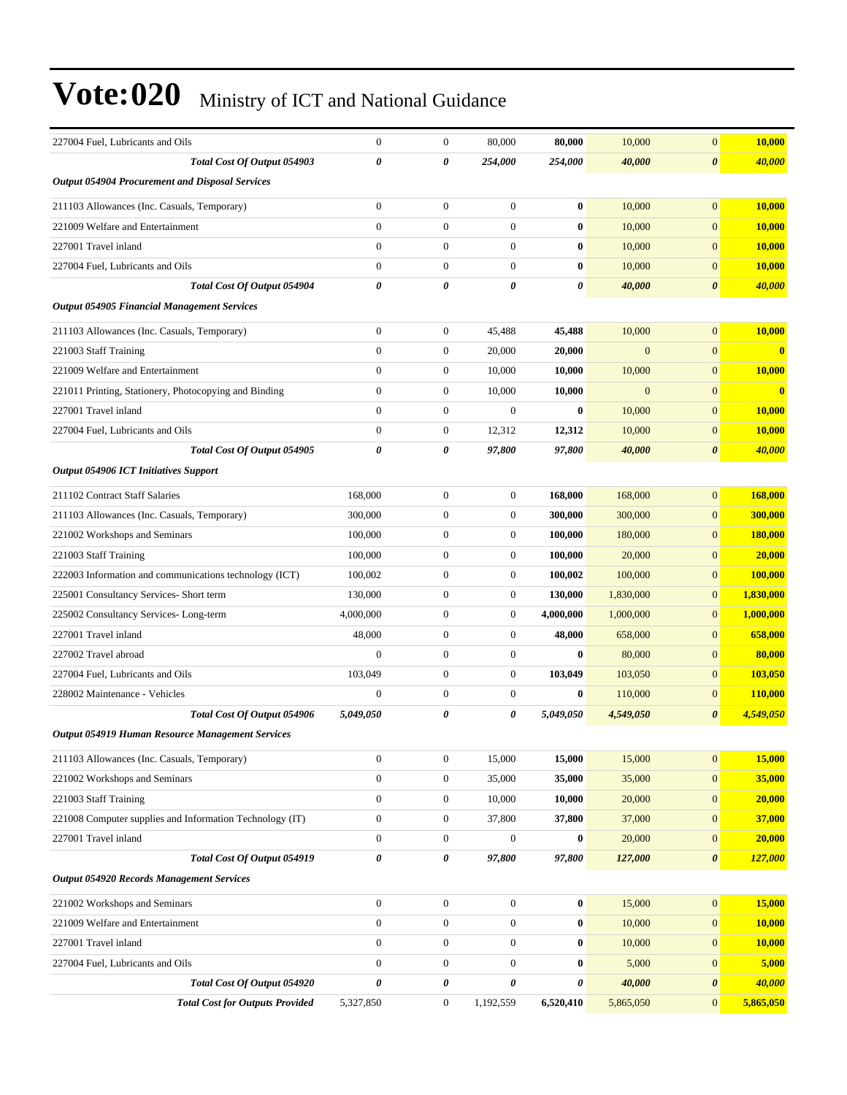| 227004 Fuel, Lubricants and Oils                         | $\mathbf{0}$     | $\mathbf{0}$     | 80,000           | 80,000         | 10,000       | $\mathbf{0}$          | 10,000         |
|----------------------------------------------------------|------------------|------------------|------------------|----------------|--------------|-----------------------|----------------|
| Total Cost Of Output 054903                              | 0                | $\theta$         | 254,000          | 254,000        | 40,000       | $\boldsymbol{\theta}$ | 40,000         |
| <b>Output 054904 Procurement and Disposal Services</b>   |                  |                  |                  |                |              |                       |                |
| 211103 Allowances (Inc. Casuals, Temporary)              | $\overline{0}$   | $\mathbf{0}$     | $\boldsymbol{0}$ | $\bf{0}$       | 10,000       | $\mathbf{0}$          | 10,000         |
| 221009 Welfare and Entertainment                         | $\overline{0}$   | $\mathbf{0}$     | $\mathbf{0}$     | $\bf{0}$       | 10,000       | $\mathbf{0}$          | 10,000         |
| 227001 Travel inland                                     | $\overline{0}$   | $\mathbf{0}$     | $\boldsymbol{0}$ | $\bf{0}$       | 10,000       | $\mathbf{0}$          | <b>10,000</b>  |
| 227004 Fuel, Lubricants and Oils                         | $\overline{0}$   | $\mathbf{0}$     | $\mathbf{0}$     | $\bf{0}$       | 10,000       | $\mathbf{0}$          | 10,000         |
| Total Cost Of Output 054904                              | 0                | 0                | 0                | 0              | 40,000       | $\boldsymbol{\theta}$ | 40,000         |
| <b>Output 054905 Financial Management Services</b>       |                  |                  |                  |                |              |                       |                |
| 211103 Allowances (Inc. Casuals, Temporary)              | $\overline{0}$   | $\mathbf{0}$     | 45,488           | 45,488         | 10,000       | $\mathbf{0}$          | 10,000         |
| 221003 Staff Training                                    | $\overline{0}$   | $\mathbf{0}$     | 20,000           | 20,000         | $\mathbf{0}$ | $\mathbf{0}$          |                |
| 221009 Welfare and Entertainment                         | $\boldsymbol{0}$ | $\boldsymbol{0}$ | 10,000           | 10,000         | 10,000       | $\mathbf{0}$          | <b>10,000</b>  |
| 221011 Printing, Stationery, Photocopying and Binding    | $\overline{0}$   | $\mathbf{0}$     | 10,000           | 10,000         | $\mathbf{0}$ | $\mathbf{0}$          | $\bf{0}$       |
| 227001 Travel inland                                     | $\overline{0}$   | $\mathbf{0}$     | $\mathbf{0}$     | $\bf{0}$       | 10,000       | $\mathbf{0}$          | <b>10,000</b>  |
| 227004 Fuel, Lubricants and Oils                         | $\mathbf{0}$     | $\mathbf{0}$     | 12,312           | 12,312         | 10,000       | $\mathbf{0}$          | 10,000         |
| Total Cost Of Output 054905                              | 0                | 0                | 97,800           | 97,800         | 40,000       | $\boldsymbol{\theta}$ | 40,000         |
| <b>Output 054906 ICT Initiatives Support</b>             |                  |                  |                  |                |              |                       |                |
| 211102 Contract Staff Salaries                           | 168,000          | $\mathbf{0}$     | $\boldsymbol{0}$ | 168,000        | 168,000      | $\mathbf{0}$          | 168,000        |
| 211103 Allowances (Inc. Casuals, Temporary)              | 300,000          | $\mathbf{0}$     | $\boldsymbol{0}$ | 300,000        | 300,000      | $\mathbf{0}$          | 300,000        |
| 221002 Workshops and Seminars                            | 100,000          | $\mathbf{0}$     | $\mathbf{0}$     | 100,000        | 180,000      | $\mathbf{0}$          | 180,000        |
| 221003 Staff Training                                    | 100,000          | $\mathbf{0}$     | $\mathbf{0}$     | 100,000        | 20,000       | $\mathbf{0}$          | 20,000         |
| 222003 Information and communications technology (ICT)   | 100,002          | $\mathbf{0}$     | $\boldsymbol{0}$ | 100,002        | 100,000      | $\mathbf{0}$          | 100,000        |
| 225001 Consultancy Services- Short term                  | 130,000          | $\mathbf{0}$     | $\mathbf{0}$     | 130,000        | 1,830,000    | $\mathbf{0}$          | 1,830,000      |
| 225002 Consultancy Services-Long-term                    | 4,000,000        | $\mathbf{0}$     | $\mathbf{0}$     | 4,000,000      | 1,000,000    | $\overline{0}$        | 1,000,000      |
| 227001 Travel inland                                     | 48,000           | $\mathbf{0}$     | $\mathbf{0}$     | 48,000         | 658,000      | $\mathbf{0}$          | 658,000        |
| 227002 Travel abroad                                     | $\mathbf{0}$     | $\mathbf{0}$     | $\boldsymbol{0}$ | $\bf{0}$       | 80,000       | $\mathbf{0}$          | 80,000         |
| 227004 Fuel, Lubricants and Oils                         | 103,049          | $\mathbf{0}$     | $\boldsymbol{0}$ | 103,049        | 103,050      | $\mathbf{0}$          | 103,050        |
| 228002 Maintenance - Vehicles                            | $\overline{0}$   | $\mathbf{0}$     | $\boldsymbol{0}$ | $\bf{0}$       | 110,000      | $\mathbf{0}$          | <b>110,000</b> |
| Total Cost Of Output 054906                              | 5,049,050        | 0                | 0                | 5,049,050      | 4,549,050    | $\boldsymbol{\theta}$ | 4,549,050      |
| <b>Output 054919 Human Resource Management Services</b>  |                  |                  |                  |                |              |                       |                |
| 211103 Allowances (Inc. Casuals, Temporary)              | $\boldsymbol{0}$ | $\boldsymbol{0}$ | 15,000           | 15,000         | 15,000       | $\mathbf{0}$          | 15,000         |
| 221002 Workshops and Seminars                            | $\boldsymbol{0}$ | $\boldsymbol{0}$ | 35,000           | 35,000         | 35,000       | $\mathbf{0}$          | 35,000         |
| 221003 Staff Training                                    | $\boldsymbol{0}$ | $\boldsymbol{0}$ | 10,000           | 10,000         | 20,000       | $\mathbf{0}$          | 20,000         |
| 221008 Computer supplies and Information Technology (IT) | $\boldsymbol{0}$ | $\boldsymbol{0}$ | 37,800           | 37,800         | 37,000       | $\mathbf{0}$          | 37,000         |
| 227001 Travel inland                                     | $\boldsymbol{0}$ | $\boldsymbol{0}$ | $\mathbf{0}$     | $\bf{0}$       | 20,000       | $\mathbf{0}$          | 20,000         |
| Total Cost Of Output 054919                              | 0                | 0                | 97,800           | 97,800         | 127,000      | $\boldsymbol{\theta}$ | 127,000        |
| <b>Output 054920 Records Management Services</b>         |                  |                  |                  |                |              |                       |                |
| 221002 Workshops and Seminars                            | $\mathbf{0}$     | $\boldsymbol{0}$ | $\boldsymbol{0}$ | $\bf{0}$       | 15,000       | $\mathbf{0}$          | 15,000         |
| 221009 Welfare and Entertainment                         | 0                | $\mathbf{0}$     | $\boldsymbol{0}$ | $\bf{0}$       | 10,000       | $\mathbf{0}$          | 10,000         |
| 227001 Travel inland                                     | $\boldsymbol{0}$ | $\boldsymbol{0}$ | $\boldsymbol{0}$ | $\bf{0}$       | 10,000       | $\mathbf{0}$          | <b>10,000</b>  |
| 227004 Fuel, Lubricants and Oils                         | $\boldsymbol{0}$ | $\boldsymbol{0}$ | $\boldsymbol{0}$ | $\bf{0}$       | 5,000        | $\mathbf{0}$          | 5,000          |
| Total Cost Of Output 054920                              | 0                | 0                | $\pmb{\theta}$   | $\pmb{\theta}$ | 40,000       | $\boldsymbol{\theta}$ | 40,000         |
| <b>Total Cost for Outputs Provided</b>                   | 5,327,850        | $\boldsymbol{0}$ | 1,192,559        | 6,520,410      | 5,865,050    | $\mathbf{0}$          | 5,865,050      |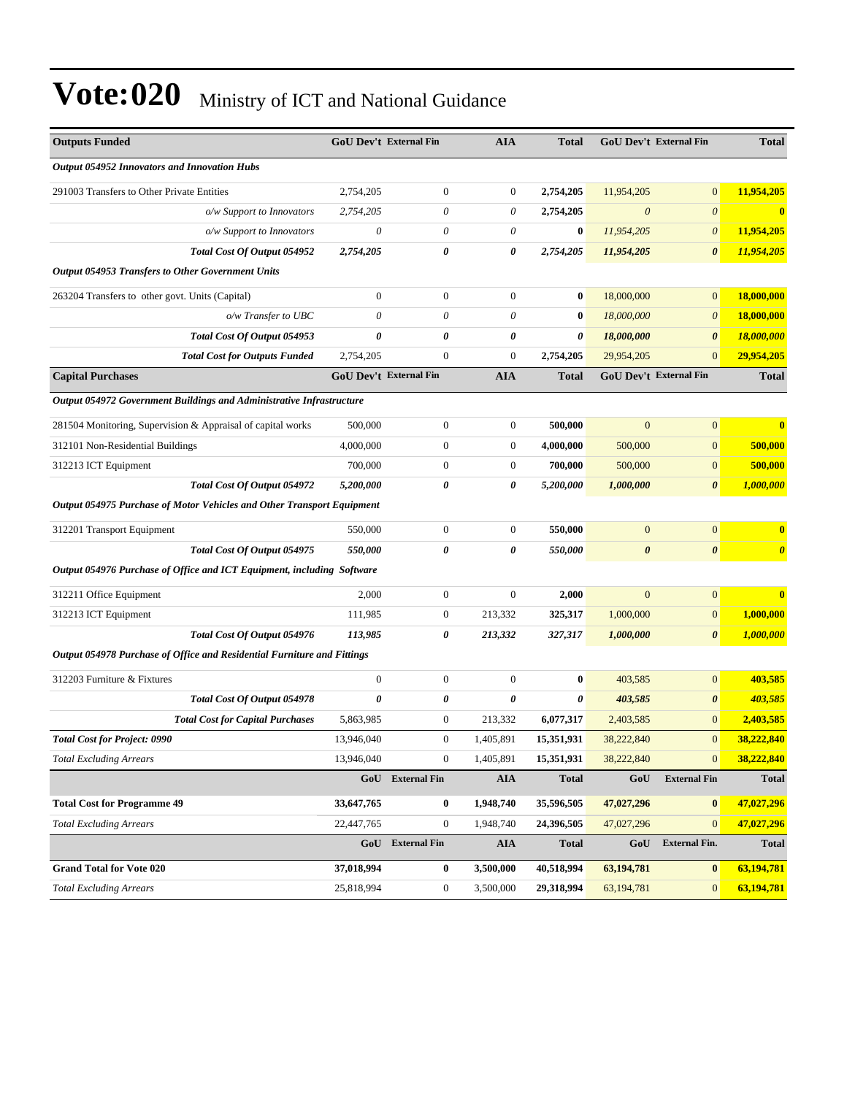| <b>Outputs Funded</b>                                                   | <b>GoU Dev't External Fin</b> |                         | <b>AIA</b>       | <b>Total</b>          | <b>GoU Dev't External Fin</b> |                       | <b>Total</b>          |
|-------------------------------------------------------------------------|-------------------------------|-------------------------|------------------|-----------------------|-------------------------------|-----------------------|-----------------------|
| <b>Output 054952 Innovators and Innovation Hubs</b>                     |                               |                         |                  |                       |                               |                       |                       |
| 291003 Transfers to Other Private Entities                              | 2,754,205                     | $\mathbf{0}$            | $\boldsymbol{0}$ | 2,754,205             | 11,954,205                    | $\mathbf{0}$          | 11,954,205            |
| o/w Support to Innovators                                               | 2.754.205                     | $\theta$                | $\theta$         | 2,754,205             | $\boldsymbol{\theta}$         | $\theta$              | $\bf{0}$              |
| o/w Support to Innovators                                               | 0                             | $\theta$                | $\theta$         | $\bf{0}$              | 11,954,205                    | $\boldsymbol{\theta}$ | 11,954,205            |
| Total Cost Of Output 054952                                             | 2,754,205                     | 0                       | 0                | 2,754,205             | 11,954,205                    | $\boldsymbol{\theta}$ | 11,954,205            |
| <b>Output 054953 Transfers to Other Government Units</b>                |                               |                         |                  |                       |                               |                       |                       |
| 263204 Transfers to other govt. Units (Capital)                         | $\boldsymbol{0}$              | $\overline{0}$          | $\boldsymbol{0}$ | $\bf{0}$              | 18,000,000                    | $\mathbf{0}$          | 18,000,000            |
| o/w Transfer to UBC                                                     | 0                             | $\theta$                | $\theta$         | $\bf{0}$              | 18,000,000                    | $\boldsymbol{\theta}$ | 18,000,000            |
| Total Cost Of Output 054953                                             | 0                             | $\boldsymbol{\theta}$   | 0                | $\boldsymbol{\theta}$ | 18,000,000                    | $\boldsymbol{\theta}$ | <b>18,000,000</b>     |
| <b>Total Cost for Outputs Funded</b>                                    | 2,754,205                     | $\mathbf{0}$            | $\mathbf{0}$     | 2,754,205             | 29,954,205                    | $\mathbf{0}$          | 29,954,205            |
| <b>Capital Purchases</b>                                                | <b>GoU Dev't External Fin</b> |                         | <b>AIA</b>       | <b>Total</b>          | <b>GoU Dev't External Fin</b> |                       | <b>Total</b>          |
| Output 054972 Government Buildings and Administrative Infrastructure    |                               |                         |                  |                       |                               |                       |                       |
| 281504 Monitoring, Supervision & Appraisal of capital works             | 500,000                       | $\mathbf{0}$            | $\mathbf{0}$     | 500,000               | $\overline{0}$                | $\mathbf{0}$          |                       |
| 312101 Non-Residential Buildings                                        | 4,000,000                     | $\mathbf{0}$            | $\mathbf{0}$     | 4,000,000             | 500,000                       | $\mathbf{0}$          | 500,000               |
| 312213 ICT Equipment                                                    | 700,000                       | $\mathbf{0}$            | $\mathbf{0}$     | 700,000               | 500,000                       | $\mathbf{0}$          | 500,000               |
| Total Cost Of Output 054972                                             | 5,200,000                     | $\boldsymbol{\theta}$   | 0                | 5,200,000             | 1,000,000                     | $\boldsymbol{\theta}$ | 1,000,000             |
| Output 054975 Purchase of Motor Vehicles and Other Transport Equipment  |                               |                         |                  |                       |                               |                       |                       |
| 312201 Transport Equipment                                              | 550,000                       | $\mathbf{0}$            | $\mathbf{0}$     | 550,000               | $\mathbf{0}$                  | $\mathbf{0}$          | $\bf{0}$              |
| Total Cost Of Output 054975                                             | 550,000                       | $\boldsymbol{\theta}$   | 0                | 550,000               | $\boldsymbol{\theta}$         | $\boldsymbol{\theta}$ | $\boldsymbol{\theta}$ |
| Output 054976 Purchase of Office and ICT Equipment, including Software  |                               |                         |                  |                       |                               |                       |                       |
| 312211 Office Equipment                                                 | 2,000                         | $\mathbf{0}$            | $\mathbf{0}$     | 2,000                 | $\mathbf{0}$                  | $\mathbf{0}$          |                       |
| 312213 ICT Equipment                                                    | 111,985                       | $\mathbf{0}$            | 213,332          | 325,317               | 1,000,000                     | $\mathbf{0}$          | 1,000,000             |
| Total Cost Of Output 054976                                             | 113,985                       | $\boldsymbol{\theta}$   | 213,332          | 327,317               | 1,000,000                     | $\boldsymbol{\theta}$ | 1,000,000             |
| Output 054978 Purchase of Office and Residential Furniture and Fittings |                               |                         |                  |                       |                               |                       |                       |
| 312203 Furniture & Fixtures                                             | $\boldsymbol{0}$              | $\mathbf{0}$            | $\mathbf{0}$     | $\bf{0}$              | 403,585                       | $\mathbf{0}$          | 403,585               |
| Total Cost Of Output 054978                                             | 0                             | $\boldsymbol{\theta}$   | 0                | $\theta$              | 403,585                       | $\boldsymbol{\theta}$ | 403,585               |
| <b>Total Cost for Capital Purchases</b>                                 | 5,863,985                     | $\boldsymbol{0}$        | 213,332          | 6,077,317             | 2,403,585                     | $\mathbf{0}$          | 2,403,585             |
| <b>Total Cost for Project: 0990</b>                                     | 13,946,040                    | $\Omega$                | 1,405,891        | 15,351,931            | 38,222,840                    | $\overline{0}$        | 38,222,840            |
| <b>Total Excluding Arrears</b>                                          | 13,946,040                    | $\mathbf{0}$            | 1,405,891        | 15,351,931            | 38,222,840                    | $\mathbf{0}$          | 38,222,840            |
|                                                                         |                               | GoU External Fin        | AIA              | <b>Total</b>          | GoU                           | <b>External Fin</b>   | <b>Total</b>          |
| <b>Total Cost for Programme 49</b>                                      | 33,647,765                    | $\bf{0}$                | 1,948,740        | 35,596,505            | 47,027,296                    | $\bf{0}$              | 47,027,296            |
| <b>Total Excluding Arrears</b>                                          | 22,447,765                    | $\mathbf{0}$            | 1,948,740        | 24,396,505            | 47,027,296                    | $\mathbf{0}$          | 47,027,296            |
|                                                                         |                               | <b>GoU</b> External Fin | <b>AIA</b>       | <b>Total</b>          | GoU                           | <b>External Fin.</b>  | Total                 |
| <b>Grand Total for Vote 020</b>                                         | 37,018,994                    | $\bf{0}$                | 3,500,000        | 40,518,994            | 63,194,781                    | $\bf{0}$              | 63,194,781            |
| <b>Total Excluding Arrears</b>                                          | 25,818,994                    | $\boldsymbol{0}$        | 3,500,000        | 29,318,994            | 63,194,781                    | $\mathbf{0}$          | 63,194,781            |